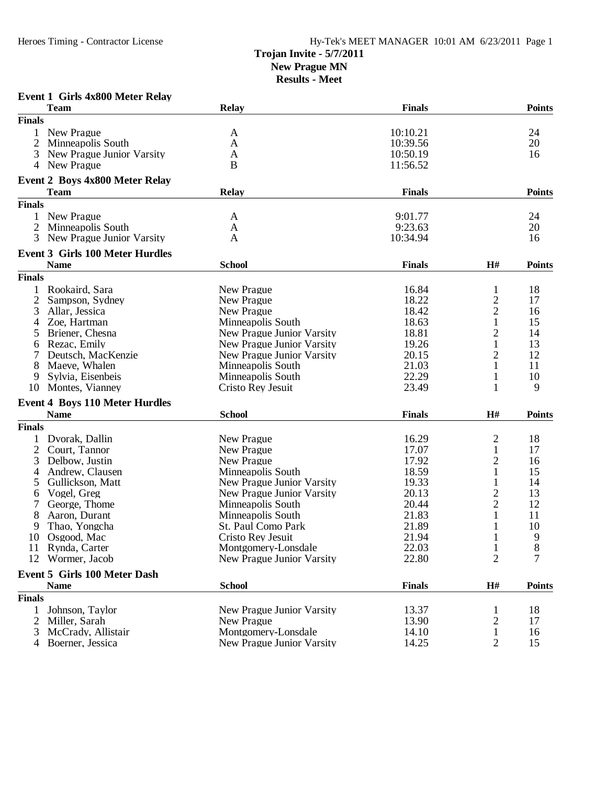# **Trojan Invite - 5/7/2011**

**New Prague MN**

|               | <b>Event 1 Girls 4x800 Meter Relay</b>               |                           |               |                         |               |
|---------------|------------------------------------------------------|---------------------------|---------------|-------------------------|---------------|
|               | <b>Team</b>                                          | Relay                     | <b>Finals</b> |                         | <b>Points</b> |
| <b>Finals</b> |                                                      |                           |               |                         |               |
| 1             | New Prague                                           | A                         | 10:10.21      |                         | 24            |
| 2             | Minneapolis South                                    | A                         | 10:39.56      |                         | 20            |
| 3             | New Prague Junior Varsity                            | A                         | 10:50.19      |                         | 16            |
| 4             | New Prague                                           | B                         | 11:56.52      |                         |               |
|               |                                                      |                           |               |                         |               |
|               | <b>Event 2 Boys 4x800 Meter Relay</b><br><b>Team</b> |                           |               |                         |               |
|               |                                                      | <b>Relay</b>              | <b>Finals</b> |                         | <b>Points</b> |
| <b>Finals</b> |                                                      |                           |               |                         |               |
| 1             | New Prague                                           | A                         | 9:01.77       |                         | 24            |
| 2             | Minneapolis South                                    | A                         | 9:23.63       |                         | 20            |
| 3             | New Prague Junior Varsity                            | A                         | 10:34.94      |                         | 16            |
|               | <b>Event 3 Girls 100 Meter Hurdles</b>               |                           |               |                         |               |
|               | <b>Name</b>                                          | <b>School</b>             | <b>Finals</b> | H#                      | <b>Points</b> |
| <b>Finals</b> |                                                      |                           |               |                         |               |
| $\mathbf{1}$  | Rookaird, Sara                                       | New Prague                | 16.84         | 1                       | 18            |
| 2             | Sampson, Sydney                                      | New Prague                | 18.22         | $\overline{c}$          | 17            |
| 3             | Allar, Jessica                                       | New Prague                | 18.42         | $\overline{c}$          | 16            |
|               | Zoe, Hartman                                         | Minneapolis South         | 18.63         | 1                       | 15            |
| 5             | Briener, Chesna                                      | New Prague Junior Varsity | 18.81         | $\overline{2}$          | 14            |
| 6             | Rezac, Emily                                         | New Prague Junior Varsity | 19.26         | 1                       | 13            |
| 7             | Deutsch, MacKenzie                                   | New Prague Junior Varsity | 20.15         | $\overline{2}$          | 12            |
| 8             | Maeve, Whalen                                        | Minneapolis South         | 21.03         | 1                       | 11            |
| 9             | Sylvia, Eisenbeis                                    | Minneapolis South         | 22.29         | 1                       | 10            |
| 10            | Montes, Vianney                                      | Cristo Rey Jesuit         | 23.49         | 1                       | 9             |
|               |                                                      |                           |               |                         |               |
|               | <b>Event 4 Boys 110 Meter Hurdles</b><br><b>Name</b> | <b>School</b>             | <b>Finals</b> | H#                      | <b>Points</b> |
| <b>Finals</b> |                                                      |                           |               |                         |               |
|               |                                                      |                           |               |                         |               |
| 1             | Dvorak, Dallin                                       | New Prague                | 16.29         | $\overline{\mathbf{c}}$ | 18            |
| 2             | Court, Tannor                                        | New Prague                | 17.07         | $\mathbf{1}$            | 17            |
| 3             | Delbow, Justin                                       | New Prague                | 17.92         | 2                       | 16            |
| 4             | Andrew, Clausen                                      | Minneapolis South         | 18.59         | 1                       | 15            |
| 5             | Gullickson, Matt                                     | New Prague Junior Varsity | 19.33         | $\mathbf{1}$            | 14            |
| 6             | Vogel, Greg                                          | New Prague Junior Varsity | 20.13         | $\overline{c}$          | 13            |
| 7             | George, Thome                                        | Minneapolis South         | 20.44         | $\overline{2}$          | 12            |
| 8             | Aaron, Durant                                        | Minneapolis South         | 21.83         | 1                       | 11            |
| 9             | Thao, Yongcha                                        | St. Paul Como Park        | 21.89         | 1                       | 10            |
| 10            | Osgood, Mac                                          | Cristo Rey Jesuit         | 21.94         | 1                       | 9             |
| 11            | Rynda, Carter                                        | Montgomery-Lonsdale       | 22.03         | $\mathbf{1}$            | $8\,$         |
| 12            | Wormer, Jacob                                        | New Prague Junior Varsity | 22.80         | $\overline{2}$          | 7             |
|               | <b>Event 5 Girls 100 Meter Dash</b>                  |                           |               |                         |               |
|               | <b>Name</b>                                          | <b>School</b>             | <b>Finals</b> | H#                      | <b>Points</b> |
| <b>Finals</b> |                                                      |                           |               |                         |               |
| 1             | Johnson, Taylor                                      | New Prague Junior Varsity | 13.37         | 1                       | 18            |
| 2             | Miller, Sarah                                        | New Prague                | 13.90         | 2                       | 17            |
| 3             | McCrady, Allistair                                   | Montgomery-Lonsdale       | 14.10         | $\mathbf{1}$            | 16            |
| 4             | Boerner, Jessica                                     | New Prague Junior Varsity | 14.25         | $\overline{c}$          | 15            |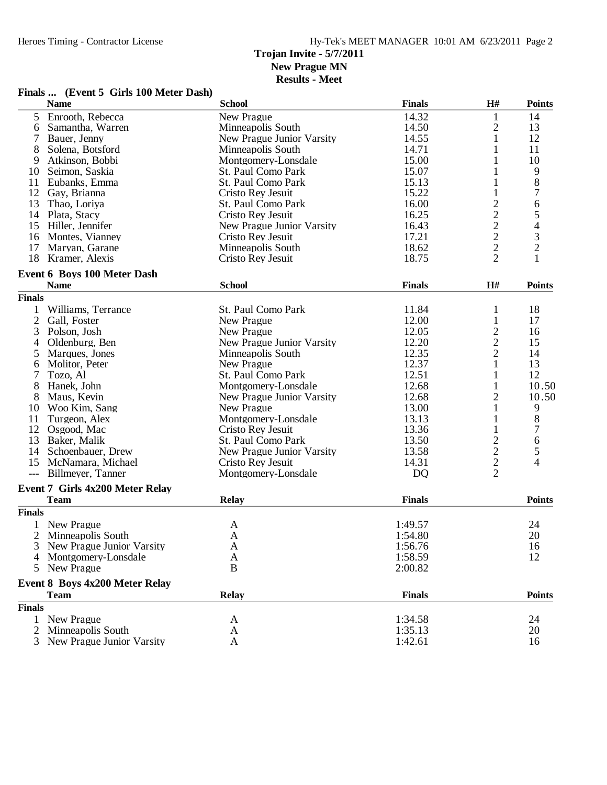**Results - Meet**

### **Finals ... (Event 5 Girls 100 Meter Dash)**

|                | <b>Name</b>                                       | <b>School</b>             | <b>Finals</b> | H#                                         | <b>Points</b>                                   |
|----------------|---------------------------------------------------|---------------------------|---------------|--------------------------------------------|-------------------------------------------------|
| 5              | Enrooth, Rebecca                                  | New Prague                | 14.32         | 1                                          | 14                                              |
| 6              | Samantha, Warren                                  | Minneapolis South         | 14.50         | $\overline{\mathbf{c}}$                    | 13                                              |
| 7              | Bauer, Jenny                                      | New Prague Junior Varsity | 14.55         | $\mathbf{1}$                               | 12                                              |
| 8              | Solena, Botsford                                  | Minneapolis South         | 14.71         | 1                                          | 11                                              |
| 9              | Atkinson, Bobbi                                   | Montgomery-Lonsdale       | 15.00         | 1                                          | 10                                              |
| 10             | Seimon, Saskia                                    | St. Paul Como Park        | 15.07         |                                            | 9                                               |
| 11             | Eubanks, Emma                                     | St. Paul Como Park        | 15.13         |                                            | 8                                               |
| 12             | Gay, Brianna                                      | Cristo Rey Jesuit         | 15.22         | 1                                          | $\boldsymbol{7}$                                |
| 13             | Thao, Loriya                                      | St. Paul Como Park        | 16.00         | $\overline{\mathbf{c}}$                    | 6                                               |
|                | 14 Plata, Stacy                                   | Cristo Rev Jesuit         | 16.25         |                                            |                                                 |
|                | 15 Hiller, Jennifer                               | New Prague Junior Varsity | 16.43         | $\begin{array}{c} 2 \\ 2 \\ 2 \end{array}$ | $\begin{array}{c} 5 \\ 4 \\ 3 \\ 2 \end{array}$ |
| 16             | Montes, Vianney                                   | Cristo Rey Jesuit         | 17.21         |                                            |                                                 |
| 17             | Maryan, Garane                                    | Minneapolis South         | 18.62         |                                            |                                                 |
| 18             | Kramer, Alexis                                    | Cristo Rey Jesuit         | 18.75         | $\overline{2}$                             | $\mathbf{1}$                                    |
|                |                                                   |                           |               |                                            |                                                 |
|                | <b>Event 6 Boys 100 Meter Dash</b><br><b>Name</b> | <b>School</b>             | <b>Finals</b> | H#                                         | <b>Points</b>                                   |
| <b>Finals</b>  |                                                   |                           |               |                                            |                                                 |
| 1              | Williams, Terrance                                | St. Paul Como Park        | 11.84         | 1                                          | 18                                              |
| $\overline{2}$ | Gall, Foster                                      | New Prague                | 12.00         |                                            | 17                                              |
|                | Polson, Josh                                      |                           | 12.05         | 1                                          |                                                 |
| 3              |                                                   | New Prague                |               | $\frac{2}{2}$                              | 16                                              |
| 4              | Oldenburg, Ben                                    | New Prague Junior Varsity | 12.20         |                                            | 15                                              |
| 5              | Marques, Jones                                    | Minneapolis South         | 12.35         | $\overline{c}$                             | 14                                              |
| 6              | Molitor, Peter                                    | New Prague                | 12.37         | $\mathbf{1}$                               | 13                                              |
| 7              | Tozo, Al                                          | St. Paul Como Park        | 12.51         | 1                                          | 12                                              |
| 8              | Hanek, John                                       | Montgomery-Lonsdale       | 12.68         | 1                                          | 10.50                                           |
| 8              | Maus, Kevin                                       | New Prague Junior Varsity | 12.68         | $\overline{c}$                             | 10.50                                           |
| 10             | Woo Kim, Sang                                     | New Prague                | 13.00         | 1                                          | 9                                               |
| 11             | Turgeon, Alex                                     | Montgomery-Lonsdale       | 13.13         | 1                                          | 8                                               |
| 12             | Osgood, Mac                                       | Cristo Rey Jesuit         | 13.36         | 1                                          | $\overline{7}$                                  |
|                | 13 Baker, Malik                                   | St. Paul Como Park        | 13.50         |                                            | 6                                               |
|                | 14 Schoenbauer, Drew                              | New Prague Junior Varsity | 13.58         |                                            | 5                                               |
| 15             | McNamara, Michael                                 | Cristo Rey Jesuit         | 14.31         | $\begin{array}{c} 2 \\ 2 \\ 2 \end{array}$ | $\overline{4}$                                  |
| $---$          | Billmeyer, Tanner                                 | Montgomery-Lonsdale       | <b>DQ</b>     |                                            |                                                 |
|                | Event 7 Girls 4x200 Meter Relay                   |                           |               |                                            |                                                 |
|                | <b>Team</b>                                       | <b>Relay</b>              | <b>Finals</b> |                                            | <b>Points</b>                                   |
| <b>Finals</b>  |                                                   |                           |               |                                            |                                                 |
|                | New Prague                                        | A                         | 1:49.57       |                                            | 24                                              |
| $\overline{2}$ | Minneapolis South                                 | A                         | 1:54.80       |                                            | 20                                              |
| 3              | New Prague Junior Varsity                         | A                         | 1:56.76       |                                            | 16                                              |
| 4              | Montgomery-Lonsdale                               | A                         | 1:58.59       |                                            | 12                                              |
| 5              | New Prague                                        | $\bf{B}$                  | 2:00.82       |                                            |                                                 |
|                | Event 8 Boys 4x200 Meter Relay                    |                           |               |                                            |                                                 |
|                | <b>Team</b>                                       | Relay                     | <b>Finals</b> |                                            | <b>Points</b>                                   |
| <b>Finals</b>  |                                                   |                           |               |                                            |                                                 |
| 1              | New Prague                                        | A                         | 1:34.58       |                                            | 24                                              |
| 2              | Minneapolis South                                 | A                         | 1:35.13       |                                            | 20                                              |
| 3              | New Prague Junior Varsity                         | A                         | 1:42.61       |                                            | 16                                              |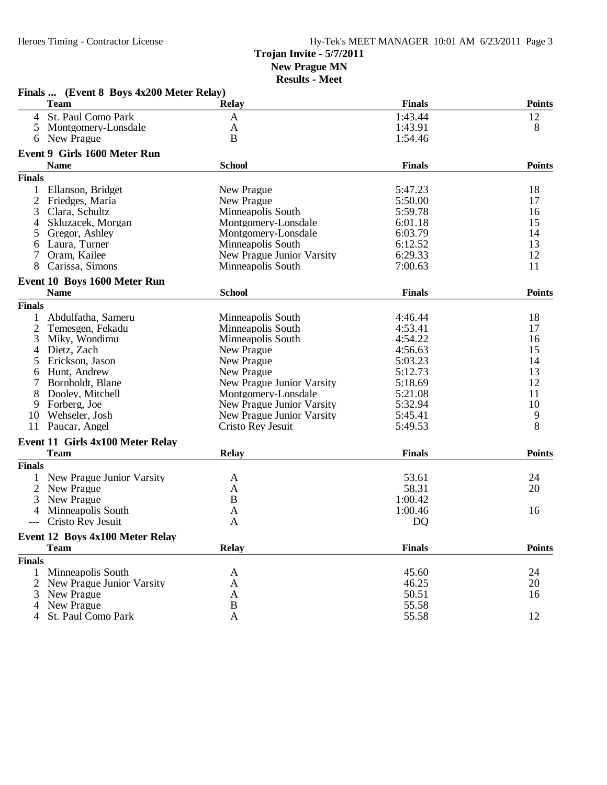|                | Finals  (Event 8 Boys 4x200 Meter Relay)    |                           |               |                |
|----------------|---------------------------------------------|---------------------------|---------------|----------------|
|                | <b>Team</b>                                 | Relay                     | <b>Finals</b> | <b>Points</b>  |
| 4              | St. Paul Como Park                          | A                         | 1:43.44       | 12             |
| 5              | Montgomery-Lonsdale                         | A                         | 1:43.91       | 8              |
| 6              | New Prague                                  | B                         | 1:54.46       |                |
|                | <b>Event 9 Girls 1600 Meter Run</b>         |                           |               |                |
|                | <b>Name</b>                                 | <b>School</b>             | <b>Finals</b> | <b>Points</b>  |
| <b>Finals</b>  |                                             |                           |               |                |
| 1              | Ellanson, Bridget                           | New Prague                | 5:47.23       | 18             |
| 2              | Friedges, Maria                             | New Prague                | 5:50.00       | 17             |
| 3              | Clara, Schultz                              | Minneapolis South         | 5:59.78       | 16             |
|                | Skluzacek, Morgan                           | Montgomery-Lonsdale       | 6:01.18       | 15             |
| 5              | Gregor, Ashley                              | Montgomery-Lonsdale       | 6:03.79       | 14             |
| 6              | Laura, Turner                               | Minneapolis South         | 6:12.52       | 13             |
| 7              | Oram, Kailee                                | New Prague Junior Varsity | 6:29.33       | 12             |
| 8              | Carissa, Simons                             | Minneapolis South         | 7:00.63       | 11             |
|                |                                             |                           |               |                |
|                | Event 10 Boys 1600 Meter Run<br><b>Name</b> | <b>School</b>             | <b>Finals</b> | <b>Points</b>  |
| <b>Finals</b>  |                                             |                           |               |                |
|                |                                             |                           |               |                |
|                | Abdulfatha, Sameru                          | Minneapolis South         | 4:46.44       | 18             |
| $\overline{c}$ | Temesgen, Fekadu                            | Minneapolis South         | 4:53.41       | 17             |
| 3              | Miky, Wondimu                               | Minneapolis South         | 4:54.22       | 16             |
| 4              | Dietz, Zach                                 | New Prague                | 4:56.63       | 15             |
| 5              | Erickson, Jason                             | New Prague                | 5:03.23       | 14             |
| 6              | Hunt, Andrew                                | New Prague                | 5:12.73       | 13             |
| 7              | Bornholdt, Blane                            | New Prague Junior Varsity | 5:18.69       | 12             |
| 8              | Dooley, Mitchell                            | Montgomery-Lonsdale       | 5:21.08       | 11             |
| 9              | Forberg, Joe                                | New Prague Junior Varsity | 5:32.94       | 10             |
| 10             | Wehseler, Josh                              | New Prague Junior Varsity | 5:45.41       | 9              |
|                | 11 Paucar, Angel                            | Cristo Rey Jesuit         | 5:49.53       | $\overline{8}$ |
|                | Event 11 Girls 4x100 Meter Relay            |                           |               |                |
|                | <b>Team</b>                                 | <b>Relay</b>              | <b>Finals</b> | <b>Points</b>  |
| <b>Finals</b>  |                                             |                           |               |                |
|                | New Prague Junior Varsity                   | A                         | 53.61         | 24             |
| $\overline{2}$ | New Prague                                  | A                         | 58.31         | 20             |
| 3              | New Prague                                  | $\boldsymbol{B}$          | 1:00.42       |                |
|                | Minneapolis South                           | A                         | 1:00.46       | 16             |
| ---            | Cristo Rey Jesuit                           | A                         | DQ            |                |
|                | Event 12 Boys 4x100 Meter Relay             |                           |               |                |
|                | <b>Team</b>                                 | <b>Relay</b>              | <b>Finals</b> | <b>Points</b>  |
| <b>Finals</b>  |                                             |                           |               |                |
| 1              | Minneapolis South                           | A                         | 45.60         | 24             |
| 2              | New Prague Junior Varsity                   | A                         | 46.25         | 20             |
| 3              | New Prague                                  | A                         | 50.51         | 16             |
|                | New Prague                                  | B                         | 55.58         |                |
|                | St. Paul Como Park                          |                           |               | 12             |
|                |                                             | A                         | 55.58         |                |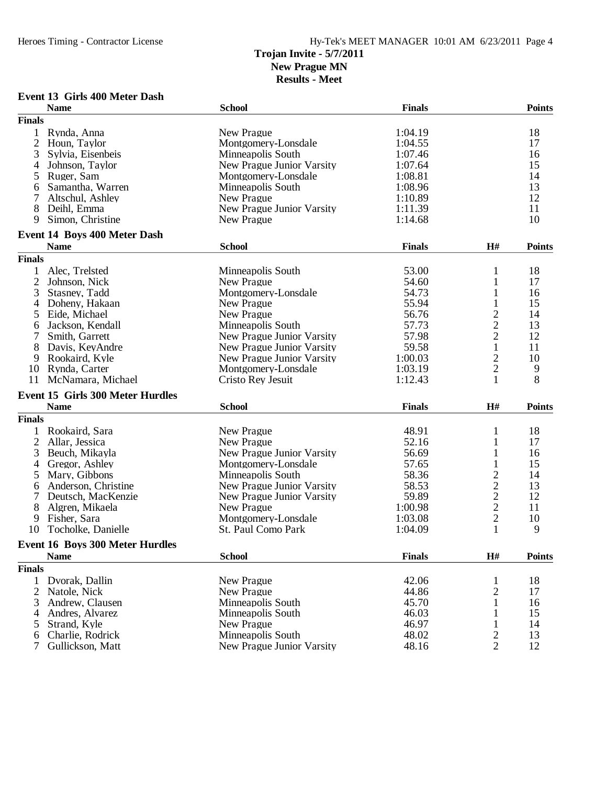**Results - Meet**

**Event 13 Girls 400 Meter Dash**

| <b>Finals</b><br>18<br>New Prague<br>1:04.19<br>Rynda, Anna<br>1<br>$\overline{2}$<br>17<br>Houn, Taylor<br>Montgomery-Lonsdale<br>1:04.55<br>3<br>Minneapolis South<br>1:07.46<br>16<br>Sylvia, Eisenbeis<br>1:07.64<br>15<br>Johnson, Taylor<br>New Prague Junior Varsity<br>4<br>14<br>5<br>Ruger, Sam<br>Montgomery-Lonsdale<br>1:08.81<br>13<br>Samantha, Warren<br>Minneapolis South<br>1:08.96<br>6<br>12<br>1:10.89<br>Altschul, Ashley<br>New Prague<br>7<br>11<br>8<br>New Prague Junior Varsity<br>1:11.39<br>Deihl, Emma<br>Simon, Christine<br>10<br>9<br>1:14.68<br>New Prague<br>Event 14 Boys 400 Meter Dash<br><b>School</b><br><b>Finals</b><br>H#<br><b>Points</b><br><b>Name</b><br><b>Finals</b><br>Minneapolis South<br>53.00<br>18<br>Alec, Trelsted<br>1<br>$\overline{2}$<br>17<br>Johnson, Nick<br>New Prague<br>54.60<br>$\mathbf{1}$<br>3<br>Montgomery-Lonsdale<br>54.73<br>$\mathbf{1}$<br>Stasney, Tadd<br>16<br>55.94<br>15<br>Doheny, Hakaan<br>New Prague<br>$\mathbf{1}$<br>4<br>$\frac{2}{2}$<br>New Prague<br>56.76<br>14<br>Eide, Michael<br>5<br>Jackson, Kendall<br>Minneapolis South<br>57.73<br>13<br>6<br>12<br>New Prague Junior Varsity<br>57.98<br>Smith, Garrett<br>$\mathbf{1}$<br>11<br>8<br>Davis, KeyAndre<br>59.58<br>New Prague Junior Varsity<br>$\overline{c}$<br>1:00.03<br>10<br>Rookaird, Kyle<br>New Prague Junior Varsity<br>9<br>$\overline{c}$<br>1:03.19<br>9<br>10<br>Rynda, Carter<br>Montgomery-Lonsdale<br>8<br>McNamara, Michael<br>1<br>11<br>Cristo Rey Jesuit<br>1:12.43<br><b>Event 15 Girls 300 Meter Hurdles</b><br>H#<br><b>Name</b><br><b>School</b><br><b>Finals</b><br><b>Points</b><br><b>Finals</b><br>Rookaird, Sara<br>New Prague<br>48.91<br>18<br>1<br>1<br>$\overline{2}$<br>Allar, Jessica<br>New Prague<br>52.16<br>$\mathbf{1}$<br>17<br>3<br>56.69<br>$\mathbf{1}$<br>Beuch, Mikayla<br>New Prague Junior Varsity<br>16<br>57.65<br>15<br>Gregor, Ashley<br>Montgomery-Lonsdale<br>1<br>4<br>$\overline{c}$<br>Mary, Gibbons<br>58.36<br>14<br>Minneapolis South<br>5<br>$\begin{array}{c} 2 \\ 2 \\ 2 \end{array}$<br>13<br>58.53<br>Anderson, Christine<br>New Prague Junior Varsity<br>6<br>12<br>Deutsch, MacKenzie<br>59.89<br>New Prague Junior Varsity<br>7<br>11<br>8<br>1:00.98<br>Algren, Mikaela<br>New Prague<br>Fisher, Sara<br>Montgomery-Lonsdale<br>1:03.08<br>10<br>9<br>$\mathbf{1}$<br>9<br>St. Paul Como Park<br>10<br>Tocholke, Danielle<br>1:04.09<br><b>Event 16 Boys 300 Meter Hurdles</b><br><b>School</b><br><b>Finals</b><br><b>Name</b><br>H#<br><b>Points</b><br><b>Finals</b><br>42.06<br>18<br>Dvorak, Dallin<br>New Prague<br>1<br>44.86<br>$\overline{c}$<br>New Prague<br>17<br>2<br>Natole, Nick<br>45.70<br>$\mathbf{1}$<br>Andrew, Clausen<br>Minneapolis South<br>16<br>3<br>46.03<br>15<br>Andres, Alvarez<br>Minneapolis South<br>1<br>4<br>46.97<br>New Prague<br>Strand, Kyle<br>14<br>5<br>1<br>$\overline{c}$<br>Minneapolis South<br>48.02<br>Charlie, Rodrick<br>13<br>6 |   | <b>Name</b>      | <b>School</b>             | <b>Finals</b> |                | <b>Points</b> |
|-----------------------------------------------------------------------------------------------------------------------------------------------------------------------------------------------------------------------------------------------------------------------------------------------------------------------------------------------------------------------------------------------------------------------------------------------------------------------------------------------------------------------------------------------------------------------------------------------------------------------------------------------------------------------------------------------------------------------------------------------------------------------------------------------------------------------------------------------------------------------------------------------------------------------------------------------------------------------------------------------------------------------------------------------------------------------------------------------------------------------------------------------------------------------------------------------------------------------------------------------------------------------------------------------------------------------------------------------------------------------------------------------------------------------------------------------------------------------------------------------------------------------------------------------------------------------------------------------------------------------------------------------------------------------------------------------------------------------------------------------------------------------------------------------------------------------------------------------------------------------------------------------------------------------------------------------------------------------------------------------------------------------------------------------------------------------------------------------------------------------------------------------------------------------------------------------------------------------------------------------------------------------------------------------------------------------------------------------------------------------------------------------------------------------------------------------------------------------------------------------------------------------------------------------------------------------------------------------------------------------------------------------------------------------------------------------------------------------------------------------------------------------------------------------------------------------------------------------------------------------------------------------------------------------------------------------------------------------------------------------------------------|---|------------------|---------------------------|---------------|----------------|---------------|
|                                                                                                                                                                                                                                                                                                                                                                                                                                                                                                                                                                                                                                                                                                                                                                                                                                                                                                                                                                                                                                                                                                                                                                                                                                                                                                                                                                                                                                                                                                                                                                                                                                                                                                                                                                                                                                                                                                                                                                                                                                                                                                                                                                                                                                                                                                                                                                                                                                                                                                                                                                                                                                                                                                                                                                                                                                                                                                                                                                                                                 |   |                  |                           |               |                |               |
|                                                                                                                                                                                                                                                                                                                                                                                                                                                                                                                                                                                                                                                                                                                                                                                                                                                                                                                                                                                                                                                                                                                                                                                                                                                                                                                                                                                                                                                                                                                                                                                                                                                                                                                                                                                                                                                                                                                                                                                                                                                                                                                                                                                                                                                                                                                                                                                                                                                                                                                                                                                                                                                                                                                                                                                                                                                                                                                                                                                                                 |   |                  |                           |               |                |               |
|                                                                                                                                                                                                                                                                                                                                                                                                                                                                                                                                                                                                                                                                                                                                                                                                                                                                                                                                                                                                                                                                                                                                                                                                                                                                                                                                                                                                                                                                                                                                                                                                                                                                                                                                                                                                                                                                                                                                                                                                                                                                                                                                                                                                                                                                                                                                                                                                                                                                                                                                                                                                                                                                                                                                                                                                                                                                                                                                                                                                                 |   |                  |                           |               |                |               |
|                                                                                                                                                                                                                                                                                                                                                                                                                                                                                                                                                                                                                                                                                                                                                                                                                                                                                                                                                                                                                                                                                                                                                                                                                                                                                                                                                                                                                                                                                                                                                                                                                                                                                                                                                                                                                                                                                                                                                                                                                                                                                                                                                                                                                                                                                                                                                                                                                                                                                                                                                                                                                                                                                                                                                                                                                                                                                                                                                                                                                 |   |                  |                           |               |                |               |
|                                                                                                                                                                                                                                                                                                                                                                                                                                                                                                                                                                                                                                                                                                                                                                                                                                                                                                                                                                                                                                                                                                                                                                                                                                                                                                                                                                                                                                                                                                                                                                                                                                                                                                                                                                                                                                                                                                                                                                                                                                                                                                                                                                                                                                                                                                                                                                                                                                                                                                                                                                                                                                                                                                                                                                                                                                                                                                                                                                                                                 |   |                  |                           |               |                |               |
|                                                                                                                                                                                                                                                                                                                                                                                                                                                                                                                                                                                                                                                                                                                                                                                                                                                                                                                                                                                                                                                                                                                                                                                                                                                                                                                                                                                                                                                                                                                                                                                                                                                                                                                                                                                                                                                                                                                                                                                                                                                                                                                                                                                                                                                                                                                                                                                                                                                                                                                                                                                                                                                                                                                                                                                                                                                                                                                                                                                                                 |   |                  |                           |               |                |               |
|                                                                                                                                                                                                                                                                                                                                                                                                                                                                                                                                                                                                                                                                                                                                                                                                                                                                                                                                                                                                                                                                                                                                                                                                                                                                                                                                                                                                                                                                                                                                                                                                                                                                                                                                                                                                                                                                                                                                                                                                                                                                                                                                                                                                                                                                                                                                                                                                                                                                                                                                                                                                                                                                                                                                                                                                                                                                                                                                                                                                                 |   |                  |                           |               |                |               |
|                                                                                                                                                                                                                                                                                                                                                                                                                                                                                                                                                                                                                                                                                                                                                                                                                                                                                                                                                                                                                                                                                                                                                                                                                                                                                                                                                                                                                                                                                                                                                                                                                                                                                                                                                                                                                                                                                                                                                                                                                                                                                                                                                                                                                                                                                                                                                                                                                                                                                                                                                                                                                                                                                                                                                                                                                                                                                                                                                                                                                 |   |                  |                           |               |                |               |
|                                                                                                                                                                                                                                                                                                                                                                                                                                                                                                                                                                                                                                                                                                                                                                                                                                                                                                                                                                                                                                                                                                                                                                                                                                                                                                                                                                                                                                                                                                                                                                                                                                                                                                                                                                                                                                                                                                                                                                                                                                                                                                                                                                                                                                                                                                                                                                                                                                                                                                                                                                                                                                                                                                                                                                                                                                                                                                                                                                                                                 |   |                  |                           |               |                |               |
|                                                                                                                                                                                                                                                                                                                                                                                                                                                                                                                                                                                                                                                                                                                                                                                                                                                                                                                                                                                                                                                                                                                                                                                                                                                                                                                                                                                                                                                                                                                                                                                                                                                                                                                                                                                                                                                                                                                                                                                                                                                                                                                                                                                                                                                                                                                                                                                                                                                                                                                                                                                                                                                                                                                                                                                                                                                                                                                                                                                                                 |   |                  |                           |               |                |               |
|                                                                                                                                                                                                                                                                                                                                                                                                                                                                                                                                                                                                                                                                                                                                                                                                                                                                                                                                                                                                                                                                                                                                                                                                                                                                                                                                                                                                                                                                                                                                                                                                                                                                                                                                                                                                                                                                                                                                                                                                                                                                                                                                                                                                                                                                                                                                                                                                                                                                                                                                                                                                                                                                                                                                                                                                                                                                                                                                                                                                                 |   |                  |                           |               |                |               |
|                                                                                                                                                                                                                                                                                                                                                                                                                                                                                                                                                                                                                                                                                                                                                                                                                                                                                                                                                                                                                                                                                                                                                                                                                                                                                                                                                                                                                                                                                                                                                                                                                                                                                                                                                                                                                                                                                                                                                                                                                                                                                                                                                                                                                                                                                                                                                                                                                                                                                                                                                                                                                                                                                                                                                                                                                                                                                                                                                                                                                 |   |                  |                           |               |                |               |
|                                                                                                                                                                                                                                                                                                                                                                                                                                                                                                                                                                                                                                                                                                                                                                                                                                                                                                                                                                                                                                                                                                                                                                                                                                                                                                                                                                                                                                                                                                                                                                                                                                                                                                                                                                                                                                                                                                                                                                                                                                                                                                                                                                                                                                                                                                                                                                                                                                                                                                                                                                                                                                                                                                                                                                                                                                                                                                                                                                                                                 |   |                  |                           |               |                |               |
|                                                                                                                                                                                                                                                                                                                                                                                                                                                                                                                                                                                                                                                                                                                                                                                                                                                                                                                                                                                                                                                                                                                                                                                                                                                                                                                                                                                                                                                                                                                                                                                                                                                                                                                                                                                                                                                                                                                                                                                                                                                                                                                                                                                                                                                                                                                                                                                                                                                                                                                                                                                                                                                                                                                                                                                                                                                                                                                                                                                                                 |   |                  |                           |               |                |               |
|                                                                                                                                                                                                                                                                                                                                                                                                                                                                                                                                                                                                                                                                                                                                                                                                                                                                                                                                                                                                                                                                                                                                                                                                                                                                                                                                                                                                                                                                                                                                                                                                                                                                                                                                                                                                                                                                                                                                                                                                                                                                                                                                                                                                                                                                                                                                                                                                                                                                                                                                                                                                                                                                                                                                                                                                                                                                                                                                                                                                                 |   |                  |                           |               |                |               |
|                                                                                                                                                                                                                                                                                                                                                                                                                                                                                                                                                                                                                                                                                                                                                                                                                                                                                                                                                                                                                                                                                                                                                                                                                                                                                                                                                                                                                                                                                                                                                                                                                                                                                                                                                                                                                                                                                                                                                                                                                                                                                                                                                                                                                                                                                                                                                                                                                                                                                                                                                                                                                                                                                                                                                                                                                                                                                                                                                                                                                 |   |                  |                           |               |                |               |
|                                                                                                                                                                                                                                                                                                                                                                                                                                                                                                                                                                                                                                                                                                                                                                                                                                                                                                                                                                                                                                                                                                                                                                                                                                                                                                                                                                                                                                                                                                                                                                                                                                                                                                                                                                                                                                                                                                                                                                                                                                                                                                                                                                                                                                                                                                                                                                                                                                                                                                                                                                                                                                                                                                                                                                                                                                                                                                                                                                                                                 |   |                  |                           |               |                |               |
|                                                                                                                                                                                                                                                                                                                                                                                                                                                                                                                                                                                                                                                                                                                                                                                                                                                                                                                                                                                                                                                                                                                                                                                                                                                                                                                                                                                                                                                                                                                                                                                                                                                                                                                                                                                                                                                                                                                                                                                                                                                                                                                                                                                                                                                                                                                                                                                                                                                                                                                                                                                                                                                                                                                                                                                                                                                                                                                                                                                                                 |   |                  |                           |               |                |               |
|                                                                                                                                                                                                                                                                                                                                                                                                                                                                                                                                                                                                                                                                                                                                                                                                                                                                                                                                                                                                                                                                                                                                                                                                                                                                                                                                                                                                                                                                                                                                                                                                                                                                                                                                                                                                                                                                                                                                                                                                                                                                                                                                                                                                                                                                                                                                                                                                                                                                                                                                                                                                                                                                                                                                                                                                                                                                                                                                                                                                                 |   |                  |                           |               |                |               |
|                                                                                                                                                                                                                                                                                                                                                                                                                                                                                                                                                                                                                                                                                                                                                                                                                                                                                                                                                                                                                                                                                                                                                                                                                                                                                                                                                                                                                                                                                                                                                                                                                                                                                                                                                                                                                                                                                                                                                                                                                                                                                                                                                                                                                                                                                                                                                                                                                                                                                                                                                                                                                                                                                                                                                                                                                                                                                                                                                                                                                 |   |                  |                           |               |                |               |
|                                                                                                                                                                                                                                                                                                                                                                                                                                                                                                                                                                                                                                                                                                                                                                                                                                                                                                                                                                                                                                                                                                                                                                                                                                                                                                                                                                                                                                                                                                                                                                                                                                                                                                                                                                                                                                                                                                                                                                                                                                                                                                                                                                                                                                                                                                                                                                                                                                                                                                                                                                                                                                                                                                                                                                                                                                                                                                                                                                                                                 |   |                  |                           |               |                |               |
|                                                                                                                                                                                                                                                                                                                                                                                                                                                                                                                                                                                                                                                                                                                                                                                                                                                                                                                                                                                                                                                                                                                                                                                                                                                                                                                                                                                                                                                                                                                                                                                                                                                                                                                                                                                                                                                                                                                                                                                                                                                                                                                                                                                                                                                                                                                                                                                                                                                                                                                                                                                                                                                                                                                                                                                                                                                                                                                                                                                                                 |   |                  |                           |               |                |               |
|                                                                                                                                                                                                                                                                                                                                                                                                                                                                                                                                                                                                                                                                                                                                                                                                                                                                                                                                                                                                                                                                                                                                                                                                                                                                                                                                                                                                                                                                                                                                                                                                                                                                                                                                                                                                                                                                                                                                                                                                                                                                                                                                                                                                                                                                                                                                                                                                                                                                                                                                                                                                                                                                                                                                                                                                                                                                                                                                                                                                                 |   |                  |                           |               |                |               |
|                                                                                                                                                                                                                                                                                                                                                                                                                                                                                                                                                                                                                                                                                                                                                                                                                                                                                                                                                                                                                                                                                                                                                                                                                                                                                                                                                                                                                                                                                                                                                                                                                                                                                                                                                                                                                                                                                                                                                                                                                                                                                                                                                                                                                                                                                                                                                                                                                                                                                                                                                                                                                                                                                                                                                                                                                                                                                                                                                                                                                 |   |                  |                           |               |                |               |
|                                                                                                                                                                                                                                                                                                                                                                                                                                                                                                                                                                                                                                                                                                                                                                                                                                                                                                                                                                                                                                                                                                                                                                                                                                                                                                                                                                                                                                                                                                                                                                                                                                                                                                                                                                                                                                                                                                                                                                                                                                                                                                                                                                                                                                                                                                                                                                                                                                                                                                                                                                                                                                                                                                                                                                                                                                                                                                                                                                                                                 |   |                  |                           |               |                |               |
|                                                                                                                                                                                                                                                                                                                                                                                                                                                                                                                                                                                                                                                                                                                                                                                                                                                                                                                                                                                                                                                                                                                                                                                                                                                                                                                                                                                                                                                                                                                                                                                                                                                                                                                                                                                                                                                                                                                                                                                                                                                                                                                                                                                                                                                                                                                                                                                                                                                                                                                                                                                                                                                                                                                                                                                                                                                                                                                                                                                                                 |   |                  |                           |               |                |               |
|                                                                                                                                                                                                                                                                                                                                                                                                                                                                                                                                                                                                                                                                                                                                                                                                                                                                                                                                                                                                                                                                                                                                                                                                                                                                                                                                                                                                                                                                                                                                                                                                                                                                                                                                                                                                                                                                                                                                                                                                                                                                                                                                                                                                                                                                                                                                                                                                                                                                                                                                                                                                                                                                                                                                                                                                                                                                                                                                                                                                                 |   |                  |                           |               |                |               |
|                                                                                                                                                                                                                                                                                                                                                                                                                                                                                                                                                                                                                                                                                                                                                                                                                                                                                                                                                                                                                                                                                                                                                                                                                                                                                                                                                                                                                                                                                                                                                                                                                                                                                                                                                                                                                                                                                                                                                                                                                                                                                                                                                                                                                                                                                                                                                                                                                                                                                                                                                                                                                                                                                                                                                                                                                                                                                                                                                                                                                 |   |                  |                           |               |                |               |
|                                                                                                                                                                                                                                                                                                                                                                                                                                                                                                                                                                                                                                                                                                                                                                                                                                                                                                                                                                                                                                                                                                                                                                                                                                                                                                                                                                                                                                                                                                                                                                                                                                                                                                                                                                                                                                                                                                                                                                                                                                                                                                                                                                                                                                                                                                                                                                                                                                                                                                                                                                                                                                                                                                                                                                                                                                                                                                                                                                                                                 |   |                  |                           |               |                |               |
|                                                                                                                                                                                                                                                                                                                                                                                                                                                                                                                                                                                                                                                                                                                                                                                                                                                                                                                                                                                                                                                                                                                                                                                                                                                                                                                                                                                                                                                                                                                                                                                                                                                                                                                                                                                                                                                                                                                                                                                                                                                                                                                                                                                                                                                                                                                                                                                                                                                                                                                                                                                                                                                                                                                                                                                                                                                                                                                                                                                                                 |   |                  |                           |               |                |               |
|                                                                                                                                                                                                                                                                                                                                                                                                                                                                                                                                                                                                                                                                                                                                                                                                                                                                                                                                                                                                                                                                                                                                                                                                                                                                                                                                                                                                                                                                                                                                                                                                                                                                                                                                                                                                                                                                                                                                                                                                                                                                                                                                                                                                                                                                                                                                                                                                                                                                                                                                                                                                                                                                                                                                                                                                                                                                                                                                                                                                                 |   |                  |                           |               |                |               |
|                                                                                                                                                                                                                                                                                                                                                                                                                                                                                                                                                                                                                                                                                                                                                                                                                                                                                                                                                                                                                                                                                                                                                                                                                                                                                                                                                                                                                                                                                                                                                                                                                                                                                                                                                                                                                                                                                                                                                                                                                                                                                                                                                                                                                                                                                                                                                                                                                                                                                                                                                                                                                                                                                                                                                                                                                                                                                                                                                                                                                 |   |                  |                           |               |                |               |
|                                                                                                                                                                                                                                                                                                                                                                                                                                                                                                                                                                                                                                                                                                                                                                                                                                                                                                                                                                                                                                                                                                                                                                                                                                                                                                                                                                                                                                                                                                                                                                                                                                                                                                                                                                                                                                                                                                                                                                                                                                                                                                                                                                                                                                                                                                                                                                                                                                                                                                                                                                                                                                                                                                                                                                                                                                                                                                                                                                                                                 |   |                  |                           |               |                |               |
|                                                                                                                                                                                                                                                                                                                                                                                                                                                                                                                                                                                                                                                                                                                                                                                                                                                                                                                                                                                                                                                                                                                                                                                                                                                                                                                                                                                                                                                                                                                                                                                                                                                                                                                                                                                                                                                                                                                                                                                                                                                                                                                                                                                                                                                                                                                                                                                                                                                                                                                                                                                                                                                                                                                                                                                                                                                                                                                                                                                                                 |   |                  |                           |               |                |               |
|                                                                                                                                                                                                                                                                                                                                                                                                                                                                                                                                                                                                                                                                                                                                                                                                                                                                                                                                                                                                                                                                                                                                                                                                                                                                                                                                                                                                                                                                                                                                                                                                                                                                                                                                                                                                                                                                                                                                                                                                                                                                                                                                                                                                                                                                                                                                                                                                                                                                                                                                                                                                                                                                                                                                                                                                                                                                                                                                                                                                                 |   |                  |                           |               |                |               |
|                                                                                                                                                                                                                                                                                                                                                                                                                                                                                                                                                                                                                                                                                                                                                                                                                                                                                                                                                                                                                                                                                                                                                                                                                                                                                                                                                                                                                                                                                                                                                                                                                                                                                                                                                                                                                                                                                                                                                                                                                                                                                                                                                                                                                                                                                                                                                                                                                                                                                                                                                                                                                                                                                                                                                                                                                                                                                                                                                                                                                 |   |                  |                           |               |                |               |
|                                                                                                                                                                                                                                                                                                                                                                                                                                                                                                                                                                                                                                                                                                                                                                                                                                                                                                                                                                                                                                                                                                                                                                                                                                                                                                                                                                                                                                                                                                                                                                                                                                                                                                                                                                                                                                                                                                                                                                                                                                                                                                                                                                                                                                                                                                                                                                                                                                                                                                                                                                                                                                                                                                                                                                                                                                                                                                                                                                                                                 |   |                  |                           |               |                |               |
|                                                                                                                                                                                                                                                                                                                                                                                                                                                                                                                                                                                                                                                                                                                                                                                                                                                                                                                                                                                                                                                                                                                                                                                                                                                                                                                                                                                                                                                                                                                                                                                                                                                                                                                                                                                                                                                                                                                                                                                                                                                                                                                                                                                                                                                                                                                                                                                                                                                                                                                                                                                                                                                                                                                                                                                                                                                                                                                                                                                                                 |   |                  |                           |               |                |               |
|                                                                                                                                                                                                                                                                                                                                                                                                                                                                                                                                                                                                                                                                                                                                                                                                                                                                                                                                                                                                                                                                                                                                                                                                                                                                                                                                                                                                                                                                                                                                                                                                                                                                                                                                                                                                                                                                                                                                                                                                                                                                                                                                                                                                                                                                                                                                                                                                                                                                                                                                                                                                                                                                                                                                                                                                                                                                                                                                                                                                                 |   |                  |                           |               |                |               |
|                                                                                                                                                                                                                                                                                                                                                                                                                                                                                                                                                                                                                                                                                                                                                                                                                                                                                                                                                                                                                                                                                                                                                                                                                                                                                                                                                                                                                                                                                                                                                                                                                                                                                                                                                                                                                                                                                                                                                                                                                                                                                                                                                                                                                                                                                                                                                                                                                                                                                                                                                                                                                                                                                                                                                                                                                                                                                                                                                                                                                 |   |                  |                           |               |                |               |
|                                                                                                                                                                                                                                                                                                                                                                                                                                                                                                                                                                                                                                                                                                                                                                                                                                                                                                                                                                                                                                                                                                                                                                                                                                                                                                                                                                                                                                                                                                                                                                                                                                                                                                                                                                                                                                                                                                                                                                                                                                                                                                                                                                                                                                                                                                                                                                                                                                                                                                                                                                                                                                                                                                                                                                                                                                                                                                                                                                                                                 |   |                  |                           |               |                |               |
|                                                                                                                                                                                                                                                                                                                                                                                                                                                                                                                                                                                                                                                                                                                                                                                                                                                                                                                                                                                                                                                                                                                                                                                                                                                                                                                                                                                                                                                                                                                                                                                                                                                                                                                                                                                                                                                                                                                                                                                                                                                                                                                                                                                                                                                                                                                                                                                                                                                                                                                                                                                                                                                                                                                                                                                                                                                                                                                                                                                                                 |   |                  |                           |               |                |               |
|                                                                                                                                                                                                                                                                                                                                                                                                                                                                                                                                                                                                                                                                                                                                                                                                                                                                                                                                                                                                                                                                                                                                                                                                                                                                                                                                                                                                                                                                                                                                                                                                                                                                                                                                                                                                                                                                                                                                                                                                                                                                                                                                                                                                                                                                                                                                                                                                                                                                                                                                                                                                                                                                                                                                                                                                                                                                                                                                                                                                                 |   |                  |                           |               |                |               |
|                                                                                                                                                                                                                                                                                                                                                                                                                                                                                                                                                                                                                                                                                                                                                                                                                                                                                                                                                                                                                                                                                                                                                                                                                                                                                                                                                                                                                                                                                                                                                                                                                                                                                                                                                                                                                                                                                                                                                                                                                                                                                                                                                                                                                                                                                                                                                                                                                                                                                                                                                                                                                                                                                                                                                                                                                                                                                                                                                                                                                 |   |                  |                           |               |                |               |
|                                                                                                                                                                                                                                                                                                                                                                                                                                                                                                                                                                                                                                                                                                                                                                                                                                                                                                                                                                                                                                                                                                                                                                                                                                                                                                                                                                                                                                                                                                                                                                                                                                                                                                                                                                                                                                                                                                                                                                                                                                                                                                                                                                                                                                                                                                                                                                                                                                                                                                                                                                                                                                                                                                                                                                                                                                                                                                                                                                                                                 |   |                  |                           |               |                |               |
|                                                                                                                                                                                                                                                                                                                                                                                                                                                                                                                                                                                                                                                                                                                                                                                                                                                                                                                                                                                                                                                                                                                                                                                                                                                                                                                                                                                                                                                                                                                                                                                                                                                                                                                                                                                                                                                                                                                                                                                                                                                                                                                                                                                                                                                                                                                                                                                                                                                                                                                                                                                                                                                                                                                                                                                                                                                                                                                                                                                                                 |   |                  |                           |               |                |               |
|                                                                                                                                                                                                                                                                                                                                                                                                                                                                                                                                                                                                                                                                                                                                                                                                                                                                                                                                                                                                                                                                                                                                                                                                                                                                                                                                                                                                                                                                                                                                                                                                                                                                                                                                                                                                                                                                                                                                                                                                                                                                                                                                                                                                                                                                                                                                                                                                                                                                                                                                                                                                                                                                                                                                                                                                                                                                                                                                                                                                                 |   |                  |                           |               |                |               |
|                                                                                                                                                                                                                                                                                                                                                                                                                                                                                                                                                                                                                                                                                                                                                                                                                                                                                                                                                                                                                                                                                                                                                                                                                                                                                                                                                                                                                                                                                                                                                                                                                                                                                                                                                                                                                                                                                                                                                                                                                                                                                                                                                                                                                                                                                                                                                                                                                                                                                                                                                                                                                                                                                                                                                                                                                                                                                                                                                                                                                 |   |                  |                           |               |                |               |
|                                                                                                                                                                                                                                                                                                                                                                                                                                                                                                                                                                                                                                                                                                                                                                                                                                                                                                                                                                                                                                                                                                                                                                                                                                                                                                                                                                                                                                                                                                                                                                                                                                                                                                                                                                                                                                                                                                                                                                                                                                                                                                                                                                                                                                                                                                                                                                                                                                                                                                                                                                                                                                                                                                                                                                                                                                                                                                                                                                                                                 | 7 | Gullickson, Matt | New Prague Junior Varsity | 48.16         | $\overline{2}$ | 12            |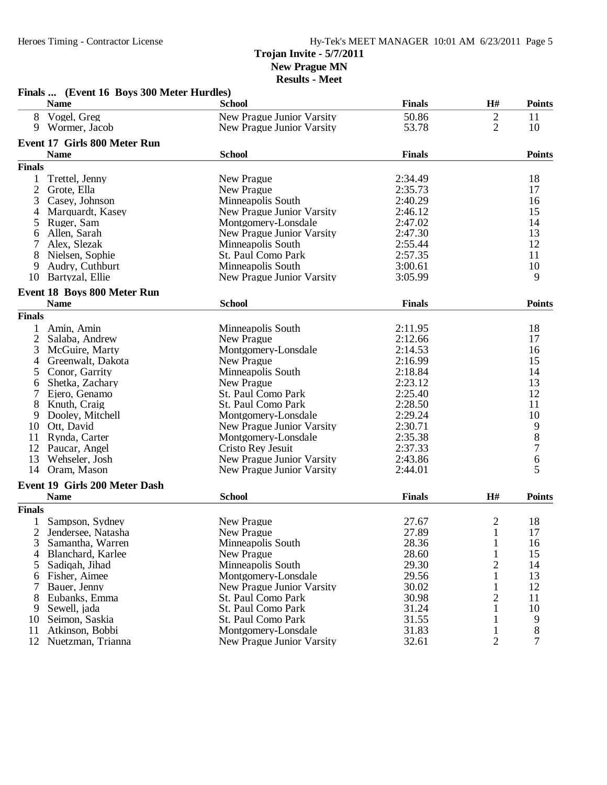### Heroes Timing - Contractor License Hy-Tek's MEET MANAGER 10:01 AM 6/23/2011 Page 5 **Trojan Invite - 5/7/2011 New Prague MN**

|                | Finals  (Event 16 Boys 300 Meter Hurdles) |                           |               |                |                                            |
|----------------|-------------------------------------------|---------------------------|---------------|----------------|--------------------------------------------|
|                | <b>Name</b>                               | School                    | <b>Finals</b> | H#             | <b>Points</b>                              |
| 8              | Vogel, Greg                               | New Prague Junior Varsity | 50.86         | $\mathbf{2}$   | 11                                         |
|                | 9 Wormer, Jacob                           | New Prague Junior Varsity | 53.78         | 2              | 10                                         |
|                | <b>Event 17 Girls 800 Meter Run</b>       |                           |               |                |                                            |
|                | <b>Name</b>                               | <b>School</b>             | <b>Finals</b> |                | <b>Points</b>                              |
| <b>Finals</b>  |                                           |                           |               |                |                                            |
|                |                                           |                           |               |                |                                            |
| 1              | Trettel, Jenny                            | New Prague                | 2:34.49       |                | 18                                         |
| 2              | Grote, Ella                               | New Prague                | 2:35.73       |                | 17                                         |
| 3              | Casey, Johnson                            | Minneapolis South         | 2:40.29       |                | 16                                         |
| 4              | Marquardt, Kasey                          | New Prague Junior Varsity | 2:46.12       |                | 15                                         |
| 5              | Ruger, Sam                                | Montgomery-Lonsdale       | 2:47.02       |                | 14                                         |
| 6              | Allen, Sarah                              | New Prague Junior Varsity | 2:47.30       |                | 13                                         |
| 7              | Alex, Slezak                              | Minneapolis South         | 2:55.44       |                | 12                                         |
| 8              | Nielsen, Sophie                           | St. Paul Como Park        | 2:57.35       |                | 11                                         |
| 9              | Audry, Cuthburt                           | Minneapolis South         | 3:00.61       |                | 10                                         |
| 10             | Bartyzal, Ellie                           | New Prague Junior Varsity | 3:05.99       |                | 9                                          |
|                | <b>Event 18 Boys 800 Meter Run</b>        |                           |               |                |                                            |
|                | <b>Name</b>                               | <b>School</b>             | <b>Finals</b> |                | <b>Points</b>                              |
| <b>Finals</b>  |                                           |                           |               |                |                                            |
| 1              | Amin, Amin                                | Minneapolis South         | 2:11.95       |                | 18                                         |
| 2              | Salaba, Andrew                            | New Prague                | 2:12.66       |                | 17                                         |
| 3              | McGuire, Marty                            | Montgomery-Lonsdale       | 2:14.53       |                | 16                                         |
|                | Greenwalt, Dakota                         | New Prague                | 2:16.99       |                | 15                                         |
| 4              |                                           | Minneapolis South         |               |                | 14                                         |
| 5              | Conor, Garrity                            |                           | 2:18.84       |                |                                            |
| 6              | Shetka, Zachary                           | New Prague                | 2:23.12       |                | 13<br>12                                   |
|                | Ejero, Genamo                             | St. Paul Como Park        | 2:25.40       |                |                                            |
| 8              | Knuth, Craig                              | St. Paul Como Park        | 2:28.50       |                | 11                                         |
| 9              | Dooley, Mitchell                          | Montgomery-Lonsdale       | 2:29.24       |                | 10                                         |
| 10             | Ott, David                                | New Prague Junior Varsity | 2:30.71       |                |                                            |
| 11             | Rynda, Carter                             | Montgomery-Lonsdale       | 2:35.38       |                | $\begin{array}{c} 9 \\ 8 \\ 7 \end{array}$ |
| 12             | Paucar, Angel                             | Cristo Rey Jesuit         | 2:37.33       |                |                                            |
| 13             | Wehseler, Josh                            | New Prague Junior Varsity | 2:43.86       |                | $\boldsymbol{6}$                           |
| 14             | Oram, Mason                               | New Prague Junior Varsity | 2:44.01       |                | 5                                          |
|                | Event 19 Girls 200 Meter Dash             |                           |               |                |                                            |
|                | <b>Name</b>                               | <b>School</b>             | <b>Finals</b> | H#             | <b>Points</b>                              |
| <b>Finals</b>  |                                           |                           |               |                |                                            |
|                | 1 Sampson, Sydney                         | New Prague                | 27.67         | $\mathbf{2}$   | 18                                         |
|                | 2 Jendersee, Natasha                      | New Prague                | 27.89         | $\mathbf{1}$   | 17                                         |
| 3              | Samantha, Warren                          | Minneapolis South         | 28.36         | $\mathbf{1}$   | 16                                         |
| $\overline{4}$ | Blanchard, Karlee                         | New Prague                | 28.60         | $\mathbf{1}$   | 15                                         |
| 5              | Sadiqah, Jihad                            | Minneapolis South         | 29.30         | $\overline{2}$ | 14                                         |
| 6              | Fisher, Aimee                             | Montgomery-Lonsdale       | 29.56         | 1              | 13                                         |
| 7              | Bauer, Jenny                              | New Prague Junior Varsity | 30.02         | 1              | 12                                         |
| 8              | Eubanks, Emma                             | St. Paul Como Park        | 30.98         | $\mathbf{2}$   | 11                                         |
| 9              | Sewell, jada                              | <b>St. Paul Como Park</b> | 31.24         | 1              | 10                                         |
| 10             | Seimon, Saskia                            | St. Paul Como Park        | 31.55         | 1              | 9                                          |
| 11             | Atkinson, Bobbi                           | Montgomery-Lonsdale       | 31.83         | 1              | 8                                          |
|                | 12 Nuetzman, Trianna                      | New Prague Junior Varsity | 32.61         | $\overline{2}$ | 7                                          |
|                |                                           |                           |               |                |                                            |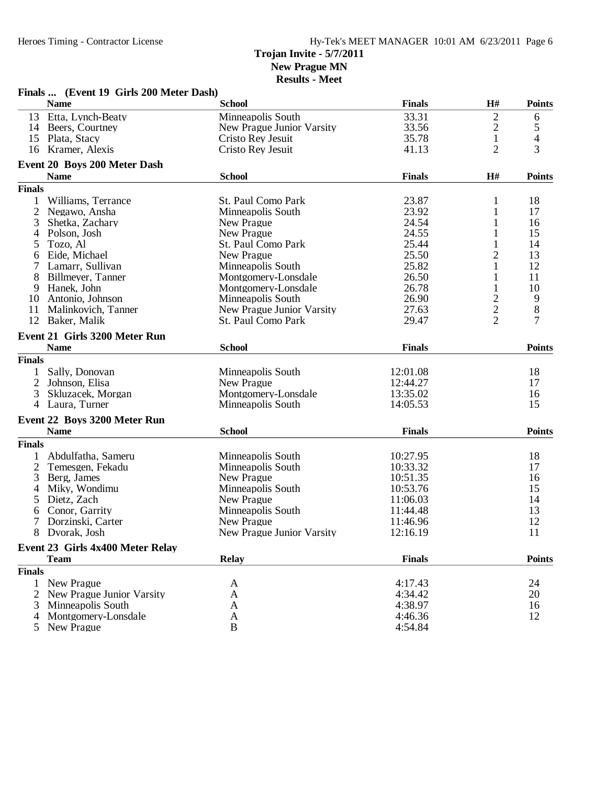**Finals ... (Event 19 Girls 200 Meter Dash)**

**New Prague MN**

| <b>Results - Meet</b> |  |  |
|-----------------------|--|--|
|-----------------------|--|--|

|                | <b>Name</b>                          | <b>School</b>             | <b>Finals</b> | H#             | <b>Points</b>  |
|----------------|--------------------------------------|---------------------------|---------------|----------------|----------------|
|                | 13 Etta, Lynch-Beaty                 | Minneapolis South         | 33.31         | 2              | 6              |
|                | 14 Beers, Courtney                   | New Prague Junior Varsity | 33.56         | $\mathfrak{2}$ | 5              |
| 15             | Plata, Stacy                         | Cristo Rey Jesuit         | 35.78         | 1              | 4              |
| 16             | Kramer, Alexis                       | Cristo Rey Jesuit         | 41.13         | $\overline{2}$ | 3              |
|                | <b>Event 20 Boys 200 Meter Dash</b>  |                           |               |                |                |
|                | <b>Name</b>                          | <b>School</b>             | <b>Finals</b> | H#             | <b>Points</b>  |
| <b>Finals</b>  |                                      |                           |               |                |                |
| 1              | Williams, Terrance                   | St. Paul Como Park        | 23.87         | 1              | 18             |
| $\overline{2}$ | Negawo, Ansha                        | Minneapolis South         | 23.92         | 1              | 17             |
| 3              | Shetka, Zachary                      | New Prague                | 24.54         | 1              | 16             |
| 4              | Polson, Josh                         | New Prague                | 24.55         | 1              | 15             |
| 5              | Tozo, Al                             | St. Paul Como Park        | 25.44         | 1              | 14             |
| 6              | Eide, Michael                        | New Prague                | 25.50         | $\overline{2}$ | 13             |
| 7              | Lamarr, Sullivan                     | Minneapolis South         | 25.82         | 1              | 12             |
| 8              | Billmeyer, Tanner                    | Montgomery-Lonsdale       | 26.50         | $\mathbf{1}$   | 11             |
| 9              | Hanek, John                          | Montgomery-Lonsdale       | 26.78         | $\mathbf{1}$   | 10             |
| 10             | Antonio, Johnson                     | Minneapolis South         | 26.90         |                | 9              |
| 11             | Malinkovich, Tanner                  | New Prague Junior Varsity | 27.63         | $\frac{2}{2}$  | 8              |
| 12             | Baker, Malik                         | St. Paul Como Park        | 29.47         | $\overline{c}$ | $\overline{7}$ |
|                |                                      |                           |               |                |                |
|                | <b>Event 21 Girls 3200 Meter Run</b> |                           |               |                |                |
|                | <b>Name</b>                          | <b>School</b>             | <b>Finals</b> |                | <b>Points</b>  |
| <b>Finals</b>  |                                      |                           |               |                |                |
| 1              | Sally, Donovan                       | Minneapolis South         | 12:01.08      |                | 18             |
| $\overline{2}$ | Johnson, Elisa                       | New Prague                | 12:44.27      |                | 17             |
| 3              | Skluzacek, Morgan                    | Montgomery-Lonsdale       | 13:35.02      |                | 16             |
| 4              | Laura, Turner                        | Minneapolis South         | 14:05.53      |                | 15             |
|                | Event 22 Boys 3200 Meter Run         |                           |               |                |                |
|                | <b>Name</b>                          | <b>School</b>             | <b>Finals</b> |                | <b>Points</b>  |
| <b>Finals</b>  |                                      |                           |               |                |                |
| 1              | Abdulfatha, Sameru                   | Minneapolis South         | 10:27.95      |                | 18             |
| $\mathbf{2}$   | Temesgen, Fekadu                     | Minneapolis South         | 10:33.32      |                | 17             |
| 3              | Berg, James                          | New Prague                | 10:51.35      |                | 16             |
| 4              | Miky, Wondimu                        | Minneapolis South         | 10:53.76      |                | 15             |
| 5              | Dietz, Zach                          | New Prague                | 11:06.03      |                | 14             |
| 6              | Conor, Garrity                       | Minneapolis South         | 11:44.48      |                | 13             |
| 7              | Dorzinski, Carter                    | New Prague                | 11:46.96      |                | 12             |
| 8              | Dvorak, Josh                         | New Prague Junior Varsity | 12:16.19      |                | 11             |
|                |                                      |                           |               |                |                |
|                | Event 23 Girls 4x400 Meter Relay     |                           |               |                |                |
|                | <b>Team</b>                          | <b>Relay</b>              | <b>Finals</b> |                | <b>Points</b>  |
| <b>Finals</b>  |                                      |                           |               |                |                |
| 1              | New Prague                           | A                         | 4:17.43       |                | 24             |
| 2              | New Prague Junior Varsity            | A                         | 4:34.42       |                | 20             |
| 3              | Minneapolis South                    | A                         | 4:38.97       |                | 16             |
| 4              | Montgomery-Lonsdale                  | A                         | 4:46.36       |                | 12             |
| 5              | New Prague                           | B                         | 4:54.84       |                |                |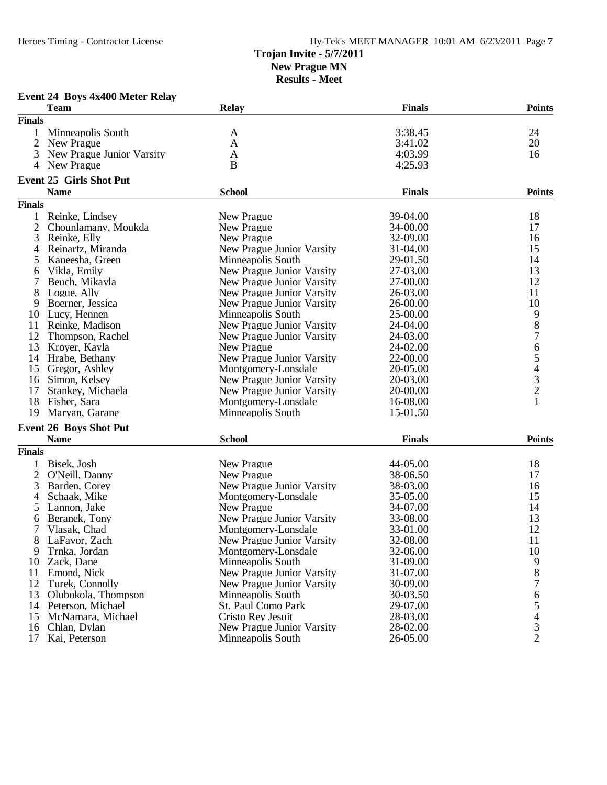## **Trojan Invite - 5/7/2011**

**New Prague MN**

| Event 24 Boys 4x400 Meter Relay |  |  |  |  |
|---------------------------------|--|--|--|--|
|---------------------------------|--|--|--|--|

| <b>Finals</b><br>3:38.45<br>Minneapolis South<br>24<br>A<br>$\overline{2}$<br>20<br>New Prague<br>$\mathbf{A}$<br>3:41.02<br>4:03.99<br>3<br>New Prague Junior Varsity<br>16<br>A<br>New Prague<br>B<br>4:25.93<br>4<br><b>Event 25 Girls Shot Put</b><br><b>School</b><br><b>Finals</b><br><b>Name</b><br><b>Finals</b><br>Reinke, Lindsey<br>39-04.00<br>18<br>New Prague<br>1<br>$\overline{2}$<br>34-00.00<br>17<br>Chounlamany, Moukda<br>New Prague<br>3<br>Reinke, Elly<br>New Prague<br>32-09.00<br>16<br>15<br>Reinartz, Miranda<br>New Prague Junior Varsity<br>31-04.00<br>4<br>14<br>5<br>Kaneesha, Green<br>Minneapolis South<br>29-01.50<br>13<br>New Prague Junior Varsity<br>27-03.00<br>Vikla, Emily<br>6<br>12<br>27-00.00<br>7<br>Beuch, Mikayla<br>New Prague Junior Varsity<br>8<br>11<br>Logue, Ally<br>New Prague Junior Varsity<br>26-03.00<br>10<br>9<br>Boerner, Jessica<br>New Prague Junior Varsity<br>26-00.00<br>$\begin{array}{c} 9 \\ 8 \end{array}$<br>Lucy, Hennen<br>Minneapolis South<br>25-00.00<br>10<br>11<br>Reinke, Madison<br>New Prague Junior Varsity<br>24-04.00<br>$\overline{7}$<br>12<br>Thompson, Rachel<br>24-03.00<br>New Prague Junior Varsity<br>$\boldsymbol{6}$<br>13<br>New Prague<br>24-02.00<br>Kroyer, Kayla<br>$\begin{array}{c} 5 \\ 4 \\ 3 \\ 2 \end{array}$<br>22-00.00<br>14<br>Hrabe, Bethany<br>New Prague Junior Varsity<br>15<br>Gregor, Ashley<br>Montgomery-Lonsdale<br>20-05.00<br>16<br>Simon, Kelsey<br>New Prague Junior Varsity<br>20-03.00<br>17<br>Stankey, Michaela<br>New Prague Junior Varsity<br>20-00.00<br>$\mathbf{1}$<br>18<br>Fisher, Sara<br>Montgomery-Lonsdale<br>16-08.00<br>15-01.50<br>19<br>Maryan, Garane<br>Minneapolis South<br><b>Event 26 Boys Shot Put</b><br><b>Name</b><br><b>School</b><br><b>Finals</b><br><b>Finals</b><br>18<br>Bisek, Josh<br>New Prague<br>44-05.00<br>1<br>2<br>O'Neill, Danny<br>New Prague<br>38-06.50<br>17<br>16<br>3<br>Barden, Corey<br>New Prague Junior Varsity<br>38-03.00<br>35-05.00<br>15<br>4<br>Schaak, Mike<br>Montgomery-Lonsdale<br>Lannon, Jake<br>New Prague<br>34-07.00<br>14<br>5<br>New Prague Junior Varsity<br>33-08.00<br>13<br>Beranek, Tony<br>6<br>12<br>7<br>Vlasak, Chad<br>Montgomery-Lonsdale<br>33-01.00<br>11<br>8<br>LaFavor, Zach<br>New Prague Junior Varsity<br>32-08.00<br>10<br>9<br>Trnka, Jordan<br>32-06.00<br>Montgomery-Lonsdale<br>31-09.00<br>9<br>10<br>Zack, Dane<br>Minneapolis South<br>$8\,$<br>31-07.00<br>11<br>Emond, Nick<br>New Prague Junior Varsity<br>7<br>12<br>30-09.00<br>Turek, Connolly<br>New Prague Junior Varsity<br>13<br>Olubokola, Thompson<br>6<br>Minneapolis South<br>30-03.50<br>5<br>Peterson, Michael<br>St. Paul Como Park<br>29-07.00<br>14<br>$\overline{4}$<br>28-03.00<br>15<br>McNamara, Michael<br>Cristo Rev Jesuit |    | <b>Team</b>  | <b>Relay</b>                     | <b>Finals</b> | <b>Points</b>  |
|--------------------------------------------------------------------------------------------------------------------------------------------------------------------------------------------------------------------------------------------------------------------------------------------------------------------------------------------------------------------------------------------------------------------------------------------------------------------------------------------------------------------------------------------------------------------------------------------------------------------------------------------------------------------------------------------------------------------------------------------------------------------------------------------------------------------------------------------------------------------------------------------------------------------------------------------------------------------------------------------------------------------------------------------------------------------------------------------------------------------------------------------------------------------------------------------------------------------------------------------------------------------------------------------------------------------------------------------------------------------------------------------------------------------------------------------------------------------------------------------------------------------------------------------------------------------------------------------------------------------------------------------------------------------------------------------------------------------------------------------------------------------------------------------------------------------------------------------------------------------------------------------------------------------------------------------------------------------------------------------------------------------------------------------------------------------------------------------------------------------------------------------------------------------------------------------------------------------------------------------------------------------------------------------------------------------------------------------------------------------------------------------------------------------------------------------------------------------------------------------------------------------------------------------------------------------------------------------------------------------------------------------------------------------------------------------------------------------------------------------------------------------------------------------------------------------------------------|----|--------------|----------------------------------|---------------|----------------|
|                                                                                                                                                                                                                                                                                                                                                                                                                                                                                                                                                                                                                                                                                                                                                                                                                                                                                                                                                                                                                                                                                                                                                                                                                                                                                                                                                                                                                                                                                                                                                                                                                                                                                                                                                                                                                                                                                                                                                                                                                                                                                                                                                                                                                                                                                                                                                                                                                                                                                                                                                                                                                                                                                                                                                                                                                                      |    |              |                                  |               |                |
|                                                                                                                                                                                                                                                                                                                                                                                                                                                                                                                                                                                                                                                                                                                                                                                                                                                                                                                                                                                                                                                                                                                                                                                                                                                                                                                                                                                                                                                                                                                                                                                                                                                                                                                                                                                                                                                                                                                                                                                                                                                                                                                                                                                                                                                                                                                                                                                                                                                                                                                                                                                                                                                                                                                                                                                                                                      |    |              |                                  |               |                |
|                                                                                                                                                                                                                                                                                                                                                                                                                                                                                                                                                                                                                                                                                                                                                                                                                                                                                                                                                                                                                                                                                                                                                                                                                                                                                                                                                                                                                                                                                                                                                                                                                                                                                                                                                                                                                                                                                                                                                                                                                                                                                                                                                                                                                                                                                                                                                                                                                                                                                                                                                                                                                                                                                                                                                                                                                                      |    |              |                                  |               |                |
|                                                                                                                                                                                                                                                                                                                                                                                                                                                                                                                                                                                                                                                                                                                                                                                                                                                                                                                                                                                                                                                                                                                                                                                                                                                                                                                                                                                                                                                                                                                                                                                                                                                                                                                                                                                                                                                                                                                                                                                                                                                                                                                                                                                                                                                                                                                                                                                                                                                                                                                                                                                                                                                                                                                                                                                                                                      |    |              |                                  |               |                |
|                                                                                                                                                                                                                                                                                                                                                                                                                                                                                                                                                                                                                                                                                                                                                                                                                                                                                                                                                                                                                                                                                                                                                                                                                                                                                                                                                                                                                                                                                                                                                                                                                                                                                                                                                                                                                                                                                                                                                                                                                                                                                                                                                                                                                                                                                                                                                                                                                                                                                                                                                                                                                                                                                                                                                                                                                                      |    |              |                                  |               |                |
|                                                                                                                                                                                                                                                                                                                                                                                                                                                                                                                                                                                                                                                                                                                                                                                                                                                                                                                                                                                                                                                                                                                                                                                                                                                                                                                                                                                                                                                                                                                                                                                                                                                                                                                                                                                                                                                                                                                                                                                                                                                                                                                                                                                                                                                                                                                                                                                                                                                                                                                                                                                                                                                                                                                                                                                                                                      |    |              |                                  |               |                |
|                                                                                                                                                                                                                                                                                                                                                                                                                                                                                                                                                                                                                                                                                                                                                                                                                                                                                                                                                                                                                                                                                                                                                                                                                                                                                                                                                                                                                                                                                                                                                                                                                                                                                                                                                                                                                                                                                                                                                                                                                                                                                                                                                                                                                                                                                                                                                                                                                                                                                                                                                                                                                                                                                                                                                                                                                                      |    |              |                                  |               | <b>Points</b>  |
|                                                                                                                                                                                                                                                                                                                                                                                                                                                                                                                                                                                                                                                                                                                                                                                                                                                                                                                                                                                                                                                                                                                                                                                                                                                                                                                                                                                                                                                                                                                                                                                                                                                                                                                                                                                                                                                                                                                                                                                                                                                                                                                                                                                                                                                                                                                                                                                                                                                                                                                                                                                                                                                                                                                                                                                                                                      |    |              |                                  |               |                |
|                                                                                                                                                                                                                                                                                                                                                                                                                                                                                                                                                                                                                                                                                                                                                                                                                                                                                                                                                                                                                                                                                                                                                                                                                                                                                                                                                                                                                                                                                                                                                                                                                                                                                                                                                                                                                                                                                                                                                                                                                                                                                                                                                                                                                                                                                                                                                                                                                                                                                                                                                                                                                                                                                                                                                                                                                                      |    |              |                                  |               |                |
|                                                                                                                                                                                                                                                                                                                                                                                                                                                                                                                                                                                                                                                                                                                                                                                                                                                                                                                                                                                                                                                                                                                                                                                                                                                                                                                                                                                                                                                                                                                                                                                                                                                                                                                                                                                                                                                                                                                                                                                                                                                                                                                                                                                                                                                                                                                                                                                                                                                                                                                                                                                                                                                                                                                                                                                                                                      |    |              |                                  |               |                |
|                                                                                                                                                                                                                                                                                                                                                                                                                                                                                                                                                                                                                                                                                                                                                                                                                                                                                                                                                                                                                                                                                                                                                                                                                                                                                                                                                                                                                                                                                                                                                                                                                                                                                                                                                                                                                                                                                                                                                                                                                                                                                                                                                                                                                                                                                                                                                                                                                                                                                                                                                                                                                                                                                                                                                                                                                                      |    |              |                                  |               |                |
|                                                                                                                                                                                                                                                                                                                                                                                                                                                                                                                                                                                                                                                                                                                                                                                                                                                                                                                                                                                                                                                                                                                                                                                                                                                                                                                                                                                                                                                                                                                                                                                                                                                                                                                                                                                                                                                                                                                                                                                                                                                                                                                                                                                                                                                                                                                                                                                                                                                                                                                                                                                                                                                                                                                                                                                                                                      |    |              |                                  |               |                |
|                                                                                                                                                                                                                                                                                                                                                                                                                                                                                                                                                                                                                                                                                                                                                                                                                                                                                                                                                                                                                                                                                                                                                                                                                                                                                                                                                                                                                                                                                                                                                                                                                                                                                                                                                                                                                                                                                                                                                                                                                                                                                                                                                                                                                                                                                                                                                                                                                                                                                                                                                                                                                                                                                                                                                                                                                                      |    |              |                                  |               |                |
|                                                                                                                                                                                                                                                                                                                                                                                                                                                                                                                                                                                                                                                                                                                                                                                                                                                                                                                                                                                                                                                                                                                                                                                                                                                                                                                                                                                                                                                                                                                                                                                                                                                                                                                                                                                                                                                                                                                                                                                                                                                                                                                                                                                                                                                                                                                                                                                                                                                                                                                                                                                                                                                                                                                                                                                                                                      |    |              |                                  |               |                |
|                                                                                                                                                                                                                                                                                                                                                                                                                                                                                                                                                                                                                                                                                                                                                                                                                                                                                                                                                                                                                                                                                                                                                                                                                                                                                                                                                                                                                                                                                                                                                                                                                                                                                                                                                                                                                                                                                                                                                                                                                                                                                                                                                                                                                                                                                                                                                                                                                                                                                                                                                                                                                                                                                                                                                                                                                                      |    |              |                                  |               |                |
|                                                                                                                                                                                                                                                                                                                                                                                                                                                                                                                                                                                                                                                                                                                                                                                                                                                                                                                                                                                                                                                                                                                                                                                                                                                                                                                                                                                                                                                                                                                                                                                                                                                                                                                                                                                                                                                                                                                                                                                                                                                                                                                                                                                                                                                                                                                                                                                                                                                                                                                                                                                                                                                                                                                                                                                                                                      |    |              |                                  |               |                |
|                                                                                                                                                                                                                                                                                                                                                                                                                                                                                                                                                                                                                                                                                                                                                                                                                                                                                                                                                                                                                                                                                                                                                                                                                                                                                                                                                                                                                                                                                                                                                                                                                                                                                                                                                                                                                                                                                                                                                                                                                                                                                                                                                                                                                                                                                                                                                                                                                                                                                                                                                                                                                                                                                                                                                                                                                                      |    |              |                                  |               |                |
|                                                                                                                                                                                                                                                                                                                                                                                                                                                                                                                                                                                                                                                                                                                                                                                                                                                                                                                                                                                                                                                                                                                                                                                                                                                                                                                                                                                                                                                                                                                                                                                                                                                                                                                                                                                                                                                                                                                                                                                                                                                                                                                                                                                                                                                                                                                                                                                                                                                                                                                                                                                                                                                                                                                                                                                                                                      |    |              |                                  |               |                |
|                                                                                                                                                                                                                                                                                                                                                                                                                                                                                                                                                                                                                                                                                                                                                                                                                                                                                                                                                                                                                                                                                                                                                                                                                                                                                                                                                                                                                                                                                                                                                                                                                                                                                                                                                                                                                                                                                                                                                                                                                                                                                                                                                                                                                                                                                                                                                                                                                                                                                                                                                                                                                                                                                                                                                                                                                                      |    |              |                                  |               |                |
|                                                                                                                                                                                                                                                                                                                                                                                                                                                                                                                                                                                                                                                                                                                                                                                                                                                                                                                                                                                                                                                                                                                                                                                                                                                                                                                                                                                                                                                                                                                                                                                                                                                                                                                                                                                                                                                                                                                                                                                                                                                                                                                                                                                                                                                                                                                                                                                                                                                                                                                                                                                                                                                                                                                                                                                                                                      |    |              |                                  |               |                |
|                                                                                                                                                                                                                                                                                                                                                                                                                                                                                                                                                                                                                                                                                                                                                                                                                                                                                                                                                                                                                                                                                                                                                                                                                                                                                                                                                                                                                                                                                                                                                                                                                                                                                                                                                                                                                                                                                                                                                                                                                                                                                                                                                                                                                                                                                                                                                                                                                                                                                                                                                                                                                                                                                                                                                                                                                                      |    |              |                                  |               |                |
|                                                                                                                                                                                                                                                                                                                                                                                                                                                                                                                                                                                                                                                                                                                                                                                                                                                                                                                                                                                                                                                                                                                                                                                                                                                                                                                                                                                                                                                                                                                                                                                                                                                                                                                                                                                                                                                                                                                                                                                                                                                                                                                                                                                                                                                                                                                                                                                                                                                                                                                                                                                                                                                                                                                                                                                                                                      |    |              |                                  |               |                |
|                                                                                                                                                                                                                                                                                                                                                                                                                                                                                                                                                                                                                                                                                                                                                                                                                                                                                                                                                                                                                                                                                                                                                                                                                                                                                                                                                                                                                                                                                                                                                                                                                                                                                                                                                                                                                                                                                                                                                                                                                                                                                                                                                                                                                                                                                                                                                                                                                                                                                                                                                                                                                                                                                                                                                                                                                                      |    |              |                                  |               |                |
|                                                                                                                                                                                                                                                                                                                                                                                                                                                                                                                                                                                                                                                                                                                                                                                                                                                                                                                                                                                                                                                                                                                                                                                                                                                                                                                                                                                                                                                                                                                                                                                                                                                                                                                                                                                                                                                                                                                                                                                                                                                                                                                                                                                                                                                                                                                                                                                                                                                                                                                                                                                                                                                                                                                                                                                                                                      |    |              |                                  |               |                |
|                                                                                                                                                                                                                                                                                                                                                                                                                                                                                                                                                                                                                                                                                                                                                                                                                                                                                                                                                                                                                                                                                                                                                                                                                                                                                                                                                                                                                                                                                                                                                                                                                                                                                                                                                                                                                                                                                                                                                                                                                                                                                                                                                                                                                                                                                                                                                                                                                                                                                                                                                                                                                                                                                                                                                                                                                                      |    |              |                                  |               |                |
|                                                                                                                                                                                                                                                                                                                                                                                                                                                                                                                                                                                                                                                                                                                                                                                                                                                                                                                                                                                                                                                                                                                                                                                                                                                                                                                                                                                                                                                                                                                                                                                                                                                                                                                                                                                                                                                                                                                                                                                                                                                                                                                                                                                                                                                                                                                                                                                                                                                                                                                                                                                                                                                                                                                                                                                                                                      |    |              |                                  |               |                |
|                                                                                                                                                                                                                                                                                                                                                                                                                                                                                                                                                                                                                                                                                                                                                                                                                                                                                                                                                                                                                                                                                                                                                                                                                                                                                                                                                                                                                                                                                                                                                                                                                                                                                                                                                                                                                                                                                                                                                                                                                                                                                                                                                                                                                                                                                                                                                                                                                                                                                                                                                                                                                                                                                                                                                                                                                                      |    |              |                                  |               |                |
|                                                                                                                                                                                                                                                                                                                                                                                                                                                                                                                                                                                                                                                                                                                                                                                                                                                                                                                                                                                                                                                                                                                                                                                                                                                                                                                                                                                                                                                                                                                                                                                                                                                                                                                                                                                                                                                                                                                                                                                                                                                                                                                                                                                                                                                                                                                                                                                                                                                                                                                                                                                                                                                                                                                                                                                                                                      |    |              |                                  |               |                |
|                                                                                                                                                                                                                                                                                                                                                                                                                                                                                                                                                                                                                                                                                                                                                                                                                                                                                                                                                                                                                                                                                                                                                                                                                                                                                                                                                                                                                                                                                                                                                                                                                                                                                                                                                                                                                                                                                                                                                                                                                                                                                                                                                                                                                                                                                                                                                                                                                                                                                                                                                                                                                                                                                                                                                                                                                                      |    |              |                                  |               |                |
|                                                                                                                                                                                                                                                                                                                                                                                                                                                                                                                                                                                                                                                                                                                                                                                                                                                                                                                                                                                                                                                                                                                                                                                                                                                                                                                                                                                                                                                                                                                                                                                                                                                                                                                                                                                                                                                                                                                                                                                                                                                                                                                                                                                                                                                                                                                                                                                                                                                                                                                                                                                                                                                                                                                                                                                                                                      |    |              |                                  |               | <b>Points</b>  |
|                                                                                                                                                                                                                                                                                                                                                                                                                                                                                                                                                                                                                                                                                                                                                                                                                                                                                                                                                                                                                                                                                                                                                                                                                                                                                                                                                                                                                                                                                                                                                                                                                                                                                                                                                                                                                                                                                                                                                                                                                                                                                                                                                                                                                                                                                                                                                                                                                                                                                                                                                                                                                                                                                                                                                                                                                                      |    |              |                                  |               |                |
|                                                                                                                                                                                                                                                                                                                                                                                                                                                                                                                                                                                                                                                                                                                                                                                                                                                                                                                                                                                                                                                                                                                                                                                                                                                                                                                                                                                                                                                                                                                                                                                                                                                                                                                                                                                                                                                                                                                                                                                                                                                                                                                                                                                                                                                                                                                                                                                                                                                                                                                                                                                                                                                                                                                                                                                                                                      |    |              |                                  |               |                |
|                                                                                                                                                                                                                                                                                                                                                                                                                                                                                                                                                                                                                                                                                                                                                                                                                                                                                                                                                                                                                                                                                                                                                                                                                                                                                                                                                                                                                                                                                                                                                                                                                                                                                                                                                                                                                                                                                                                                                                                                                                                                                                                                                                                                                                                                                                                                                                                                                                                                                                                                                                                                                                                                                                                                                                                                                                      |    |              |                                  |               |                |
|                                                                                                                                                                                                                                                                                                                                                                                                                                                                                                                                                                                                                                                                                                                                                                                                                                                                                                                                                                                                                                                                                                                                                                                                                                                                                                                                                                                                                                                                                                                                                                                                                                                                                                                                                                                                                                                                                                                                                                                                                                                                                                                                                                                                                                                                                                                                                                                                                                                                                                                                                                                                                                                                                                                                                                                                                                      |    |              |                                  |               |                |
|                                                                                                                                                                                                                                                                                                                                                                                                                                                                                                                                                                                                                                                                                                                                                                                                                                                                                                                                                                                                                                                                                                                                                                                                                                                                                                                                                                                                                                                                                                                                                                                                                                                                                                                                                                                                                                                                                                                                                                                                                                                                                                                                                                                                                                                                                                                                                                                                                                                                                                                                                                                                                                                                                                                                                                                                                                      |    |              |                                  |               |                |
|                                                                                                                                                                                                                                                                                                                                                                                                                                                                                                                                                                                                                                                                                                                                                                                                                                                                                                                                                                                                                                                                                                                                                                                                                                                                                                                                                                                                                                                                                                                                                                                                                                                                                                                                                                                                                                                                                                                                                                                                                                                                                                                                                                                                                                                                                                                                                                                                                                                                                                                                                                                                                                                                                                                                                                                                                                      |    |              |                                  |               |                |
|                                                                                                                                                                                                                                                                                                                                                                                                                                                                                                                                                                                                                                                                                                                                                                                                                                                                                                                                                                                                                                                                                                                                                                                                                                                                                                                                                                                                                                                                                                                                                                                                                                                                                                                                                                                                                                                                                                                                                                                                                                                                                                                                                                                                                                                                                                                                                                                                                                                                                                                                                                                                                                                                                                                                                                                                                                      |    |              |                                  |               |                |
|                                                                                                                                                                                                                                                                                                                                                                                                                                                                                                                                                                                                                                                                                                                                                                                                                                                                                                                                                                                                                                                                                                                                                                                                                                                                                                                                                                                                                                                                                                                                                                                                                                                                                                                                                                                                                                                                                                                                                                                                                                                                                                                                                                                                                                                                                                                                                                                                                                                                                                                                                                                                                                                                                                                                                                                                                                      |    |              |                                  |               |                |
|                                                                                                                                                                                                                                                                                                                                                                                                                                                                                                                                                                                                                                                                                                                                                                                                                                                                                                                                                                                                                                                                                                                                                                                                                                                                                                                                                                                                                                                                                                                                                                                                                                                                                                                                                                                                                                                                                                                                                                                                                                                                                                                                                                                                                                                                                                                                                                                                                                                                                                                                                                                                                                                                                                                                                                                                                                      |    |              |                                  |               |                |
|                                                                                                                                                                                                                                                                                                                                                                                                                                                                                                                                                                                                                                                                                                                                                                                                                                                                                                                                                                                                                                                                                                                                                                                                                                                                                                                                                                                                                                                                                                                                                                                                                                                                                                                                                                                                                                                                                                                                                                                                                                                                                                                                                                                                                                                                                                                                                                                                                                                                                                                                                                                                                                                                                                                                                                                                                                      |    |              |                                  |               |                |
|                                                                                                                                                                                                                                                                                                                                                                                                                                                                                                                                                                                                                                                                                                                                                                                                                                                                                                                                                                                                                                                                                                                                                                                                                                                                                                                                                                                                                                                                                                                                                                                                                                                                                                                                                                                                                                                                                                                                                                                                                                                                                                                                                                                                                                                                                                                                                                                                                                                                                                                                                                                                                                                                                                                                                                                                                                      |    |              |                                  |               |                |
|                                                                                                                                                                                                                                                                                                                                                                                                                                                                                                                                                                                                                                                                                                                                                                                                                                                                                                                                                                                                                                                                                                                                                                                                                                                                                                                                                                                                                                                                                                                                                                                                                                                                                                                                                                                                                                                                                                                                                                                                                                                                                                                                                                                                                                                                                                                                                                                                                                                                                                                                                                                                                                                                                                                                                                                                                                      |    |              |                                  |               |                |
|                                                                                                                                                                                                                                                                                                                                                                                                                                                                                                                                                                                                                                                                                                                                                                                                                                                                                                                                                                                                                                                                                                                                                                                                                                                                                                                                                                                                                                                                                                                                                                                                                                                                                                                                                                                                                                                                                                                                                                                                                                                                                                                                                                                                                                                                                                                                                                                                                                                                                                                                                                                                                                                                                                                                                                                                                                      |    |              |                                  |               |                |
|                                                                                                                                                                                                                                                                                                                                                                                                                                                                                                                                                                                                                                                                                                                                                                                                                                                                                                                                                                                                                                                                                                                                                                                                                                                                                                                                                                                                                                                                                                                                                                                                                                                                                                                                                                                                                                                                                                                                                                                                                                                                                                                                                                                                                                                                                                                                                                                                                                                                                                                                                                                                                                                                                                                                                                                                                                      |    |              |                                  |               |                |
|                                                                                                                                                                                                                                                                                                                                                                                                                                                                                                                                                                                                                                                                                                                                                                                                                                                                                                                                                                                                                                                                                                                                                                                                                                                                                                                                                                                                                                                                                                                                                                                                                                                                                                                                                                                                                                                                                                                                                                                                                                                                                                                                                                                                                                                                                                                                                                                                                                                                                                                                                                                                                                                                                                                                                                                                                                      |    |              |                                  |               |                |
|                                                                                                                                                                                                                                                                                                                                                                                                                                                                                                                                                                                                                                                                                                                                                                                                                                                                                                                                                                                                                                                                                                                                                                                                                                                                                                                                                                                                                                                                                                                                                                                                                                                                                                                                                                                                                                                                                                                                                                                                                                                                                                                                                                                                                                                                                                                                                                                                                                                                                                                                                                                                                                                                                                                                                                                                                                      |    |              |                                  |               |                |
|                                                                                                                                                                                                                                                                                                                                                                                                                                                                                                                                                                                                                                                                                                                                                                                                                                                                                                                                                                                                                                                                                                                                                                                                                                                                                                                                                                                                                                                                                                                                                                                                                                                                                                                                                                                                                                                                                                                                                                                                                                                                                                                                                                                                                                                                                                                                                                                                                                                                                                                                                                                                                                                                                                                                                                                                                                      | 16 | Chlan, Dylan | <b>New Prague Junior Varsity</b> | 28-02.00      | $\overline{3}$ |
| $\overline{2}$<br>Minneapolis South<br>26-05.00<br>17<br>Kai, Peterson                                                                                                                                                                                                                                                                                                                                                                                                                                                                                                                                                                                                                                                                                                                                                                                                                                                                                                                                                                                                                                                                                                                                                                                                                                                                                                                                                                                                                                                                                                                                                                                                                                                                                                                                                                                                                                                                                                                                                                                                                                                                                                                                                                                                                                                                                                                                                                                                                                                                                                                                                                                                                                                                                                                                                               |    |              |                                  |               |                |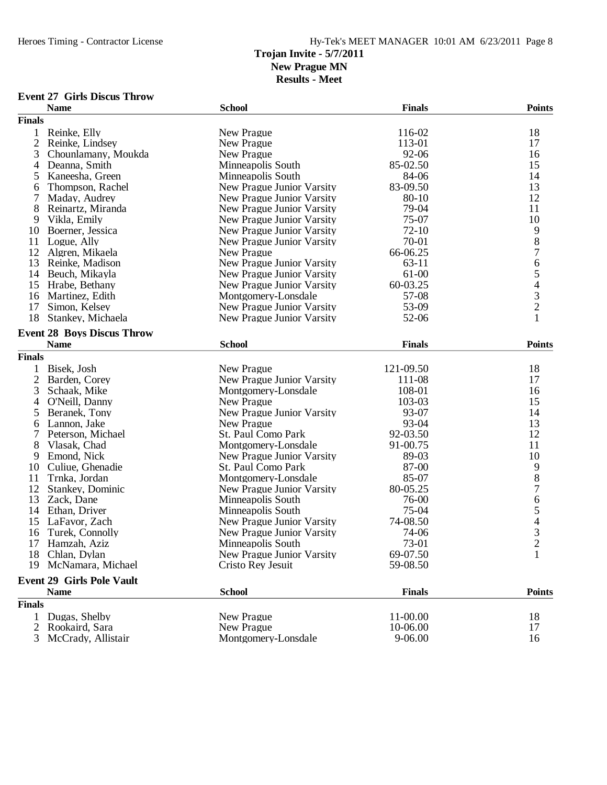**Results - Meet**

### **Event 27 Girls Discus Throw**

|                | <b>Name</b>                       | <b>School</b>             | <b>Finals</b> | <b>Points</b>  |
|----------------|-----------------------------------|---------------------------|---------------|----------------|
| <b>Finals</b>  |                                   |                           |               |                |
| 1              | Reinke, Elly                      | New Prague                | 116-02        | 18             |
| 2              | Reinke, Lindsey                   | New Prague                | 113-01        | 17             |
| 3              | Chounlamany, Moukda               | New Prague                | 92-06         | 16             |
| $\overline{4}$ | Deanna, Smith                     | Minneapolis South         | 85-02.50      | 15             |
| 5              | Kaneesha, Green                   | Minneapolis South         | 84-06         | 14             |
| 6              | Thompson, Rachel                  | New Prague Junior Varsity | 83-09.50      | 13             |
| 7              | Maday, Audrey                     | New Prague Junior Varsity | 80-10         | 12             |
| 8              | Reinartz, Miranda                 | New Prague Junior Varsity | 79-04         | 11             |
| 9              | Vikla, Emily                      | New Prague Junior Varsity | 75-07         | 10             |
| 10             | Boerner, Jessica                  | New Prague Junior Varsity | $72-10$       | 9              |
| 11             | Logue, Ally                       | New Prague Junior Varsity | 70-01         |                |
| 12             | Algren, Mikaela                   | New Prague                | 66-06.25      |                |
| 13             | Reinke, Madison                   | New Prague Junior Varsity | $63 - 11$     |                |
| 14             | Beuch, Mikayla                    | New Prague Junior Varsity | 61-00         |                |
| 15             | Hrabe, Bethany                    | New Prague Junior Varsity | 60-03.25      |                |
| 16             | Martinez, Edith                   | Montgomery-Lonsdale       | 57-08         | 8765432        |
| 17             | Simon, Kelsey                     | New Prague Junior Varsity | 53-09         |                |
| 18             | Stankey, Michaela                 | New Prague Junior Varsity | 52-06         | $\mathbf{1}$   |
|                |                                   |                           |               |                |
|                | <b>Event 28 Boys Discus Throw</b> |                           |               |                |
|                | <b>Name</b>                       | <b>School</b>             | <b>Finals</b> | <b>Points</b>  |
| <b>Finals</b>  |                                   |                           |               |                |
| $\mathbf{1}$   | Bisek, Josh                       | New Prague                | 121-09.50     | 18             |
| $\overline{2}$ | Barden, Corey                     | New Prague Junior Varsity | 111-08        | 17             |
| 3              | Schaak, Mike                      | Montgomery-Lonsdale       | 108-01        | 16             |
| 4              | O'Neill, Danny                    | New Prague                | 103-03        | 15             |
| 5              | Beranek, Tony                     | New Prague Junior Varsity | 93-07         | 14             |
| 6              | Lannon, Jake                      | New Prague                | 93-04         | 13             |
| 7              | Peterson, Michael                 | St. Paul Como Park        | 92-03.50      | 12             |
| 8              | Vlasak, Chad                      | Montgomery-Lonsdale       | 91-00.75      | 11             |
| 9              | Emond, Nick                       | New Prague Junior Varsity | 89-03         | 10             |
| 10             | Culiue, Ghenadie                  | St. Paul Como Park        | 87-00         | 9              |
| 11             | Trnka, Jordan                     | Montgomery-Lonsdale       | 85-07         | $\overline{8}$ |
| 12             | Stankey, Dominic                  | New Prague Junior Varsity | 80-05.25      | $\overline{7}$ |
| 13             | Zack, Dane                        | Minneapolis South         | 76-00         |                |
| 14             | Ethan, Driver                     | Minneapolis South         | 75-04         |                |
| 15             | LaFavor, Zach                     | New Prague Junior Varsity | 74-08.50      |                |
| 16             | Turek, Connolly                   | New Prague Junior Varsity | 74-06         |                |
| 17             | Hamzah, Aziz                      | Minneapolis South         | 73-01         | 65432          |
|                | 18 Chlan, Dylan                   | New Prague Junior Varsity | 69-07.50      | $\mathbf{1}$   |
|                | 19 McNamara, Michael              | Cristo Rey Jesuit         | 59-08.50      |                |
|                |                                   |                           |               |                |
|                | <b>Event 29 Girls Pole Vault</b>  |                           |               |                |
|                | <b>Name</b>                       | <b>School</b>             | <b>Finals</b> | <b>Points</b>  |
| <b>Finals</b>  |                                   |                           |               |                |
| $\mathbf{1}$   | Dugas, Shelby                     | New Prague                | 11-00.00      | 18             |
| 2              | Rookaird, Sara                    | New Prague                | 10-06.00      | 17             |
| 3              | McCrady, Allistair                | Montgomery-Lonsdale       | 9-06.00       | 16             |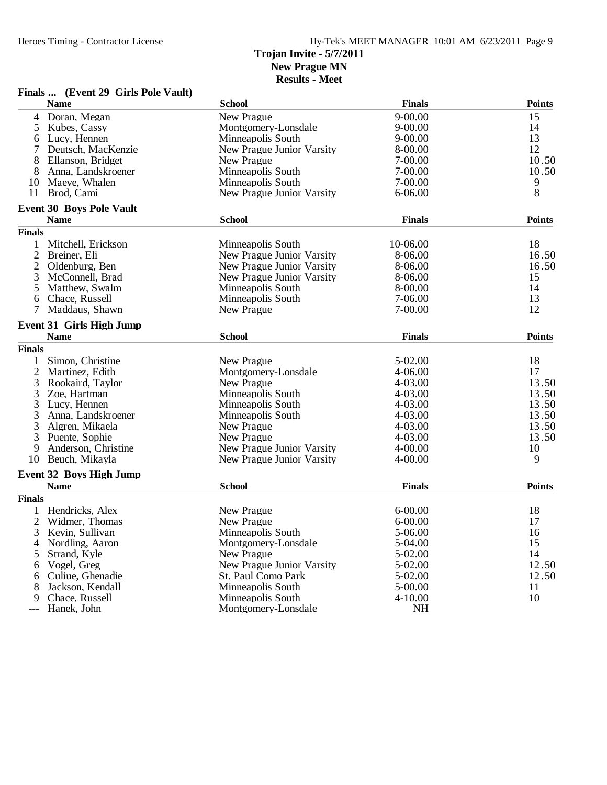#### Heroes Timing - Contractor License Hy-Tek's MEET MANAGER 10:01 AM 6/23/2011 Page 9 **Trojan Invite - 5/7/2011 New Prague MN Results - Meet**

### **Finals ... (Event 29 Girls Pole Vault)**

|                | <b>Name</b>                     | <b>School</b>             | <b>Finals</b> | <b>Points</b> |
|----------------|---------------------------------|---------------------------|---------------|---------------|
| $\overline{4}$ | Doran, Megan                    | New Prague                | $9 - 00.00$   | 15            |
| 5              | Kubes, Cassy                    | Montgomery-Lonsdale       | $9 - 00.00$   | 14            |
| 6              | Lucy, Hennen                    | Minneapolis South         | $9 - 00.00$   | 13            |
| 7              | Deutsch, MacKenzie              | New Prague Junior Varsity | 8-00.00       | 12            |
| 8              | Ellanson, Bridget               | New Prague                | 7-00.00       | 10.50         |
| 8              | Anna, Landskroener              | Minneapolis South         | 7-00.00       | 10.50         |
| 10             | Maeve, Whalen                   | Minneapolis South         | 7-00.00       | 9             |
|                | 11 Brod, Cami                   | New Prague Junior Varsity | $6 - 06.00$   | 8             |
|                | <b>Event 30 Boys Pole Vault</b> |                           |               |               |
|                | <b>Name</b>                     | <b>School</b>             | <b>Finals</b> | <b>Points</b> |
| <b>Finals</b>  |                                 |                           |               |               |
| 1              | Mitchell, Erickson              | Minneapolis South         | 10-06.00      | 18            |
| $\overline{2}$ | Breiner, Eli                    | New Prague Junior Varsity | 8-06.00       | 16.50         |
| $\overline{c}$ | Oldenburg, Ben                  | New Prague Junior Varsity | 8-06.00       | 16.50         |
| 3              | McConnell, Brad                 | New Prague Junior Varsity | 8-06.00       | 15            |
| 5              | Matthew, Swalm                  | Minneapolis South         | 8-00.00       | 14            |
| 6              | Chace, Russell                  | Minneapolis South         | 7-06.00       | 13            |
| 7              | Maddaus, Shawn                  | New Prague                | 7-00.00       | 12            |
|                | <b>Event 31 Girls High Jump</b> |                           |               |               |
|                | <b>Name</b>                     | <b>School</b>             | <b>Finals</b> | <b>Points</b> |
| <b>Finals</b>  |                                 |                           |               |               |
| 1              | Simon, Christine                | New Prague                | 5-02.00       | 18            |
| $\overline{2}$ | Martinez, Edith                 | Montgomery-Lonsdale       | 4-06.00       | 17            |
| 3              | Rookaird, Taylor                | New Prague                | 4-03.00       | 13.50         |
| 3              | Zoe, Hartman                    | Minneapolis South         | 4-03.00       | 13.50         |
| 3              | Lucy, Hennen                    | Minneapolis South         | 4-03.00       | 13.50         |
| 3              | Anna, Landskroener              | Minneapolis South         | 4-03.00       | 13.50         |
| 3              | Algren, Mikaela                 | New Prague                | 4-03.00       | 13.50         |
| 3              | Puente, Sophie                  | New Prague                | 4-03.00       | 13.50         |
| 9              | Anderson, Christine             | New Prague Junior Varsity | $4 - 00.00$   | 10            |
|                | 10 Beuch, Mikayla               | New Prague Junior Varsity | $4 - 00.00$   | 9             |
|                |                                 |                           |               |               |
|                | <b>Event 32 Boys High Jump</b>  |                           |               |               |
|                | <b>Name</b>                     | <b>School</b>             | <b>Finals</b> | <b>Points</b> |
| <b>Finals</b>  |                                 |                           |               |               |
| $\mathbf{1}$   | Hendricks, Alex                 | New Prague                | $6 - 00.00$   | 18            |
| $\overline{2}$ | Widmer, Thomas                  | New Prague                | $6 - 00.00$   | 17            |
| 3              | Kevin, Sullivan                 | Minneapolis South         | 5-06.00       | 16            |
| 4              | Nordling, Aaron                 | Montgomery-Lonsdale       | 5-04.00       | 15            |
| 5              | Strand, Kyle                    | New Prague                | 5-02.00       | 14            |
| 6              | Vogel, Greg                     | New Prague Junior Varsity | 5-02.00       | 12.50         |
| 6              | Culiue, Ghenadie                | St. Paul Como Park        | 5-02.00       | 12.50         |
| 8              | Jackson, Kendall                | Minneapolis South         | 5-00.00       | 11            |
| 9              | Chace, Russell                  | Minneapolis South         | $4 - 10.00$   | 10            |
|                | Hanek, John                     | Montgomery-Lonsdale       | NH            |               |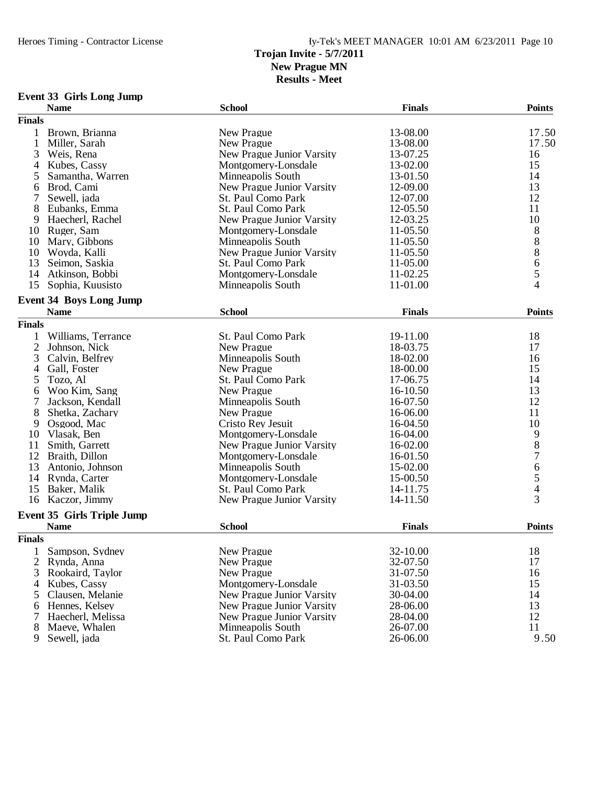**Results - Meet**

### **Event 33 Girls Long Jump**

|                | <b>Name</b>                       | <b>School</b>                    | <b>Finals</b> | <b>Points</b> |
|----------------|-----------------------------------|----------------------------------|---------------|---------------|
| <b>Finals</b>  |                                   |                                  |               |               |
| 1              | Brown, Brianna                    | New Prague                       | 13-08.00      | 17.50         |
| 1              | Miller, Sarah                     | New Prague                       | 13-08.00      | 17.50         |
| 3              | Weis, Rena                        | New Prague Junior Varsity        | 13-07.25      | 16            |
| $\overline{4}$ | Kubes, Cassy                      | Montgomery-Lonsdale              | 13-02.00      | 15            |
| 5              | Samantha, Warren                  | Minneapolis South                | 13-01.50      | 14            |
| 6              | Brod, Cami                        | New Prague Junior Varsity        | 12-09.00      | 13            |
| 7              | Sewell, jada                      | St. Paul Como Park               | 12-07.00      | 12            |
| 8              | Eubanks, Emma                     | St. Paul Como Park               | 12-05.50      | 11            |
| 9              | Haecherl, Rachel                  | <b>New Prague Junior Varsity</b> | 12-03.25      | 10            |
| 10             | Ruger, Sam                        | Montgomery-Lonsdale              | 11-05.50      |               |
| 10             | Mary, Gibbons                     | Minneapolis South                | 11-05.50      |               |
| 10             | Woyda, Kalli                      | <b>New Prague Junior Varsity</b> | 11-05.50      |               |
| 13             | Seimon, Saskia                    | St. Paul Como Park               | 11-05.00      |               |
| 14             | Atkinson, Bobbi                   | Montgomery-Lonsdale              | 11-02.25      |               |
| 15             | Sophia, Kuusisto                  | Minneapolis South                | 11-01.00      | 888654        |
|                |                                   |                                  |               |               |
|                | <b>Event 34 Boys Long Jump</b>    |                                  |               |               |
|                | <b>Name</b>                       | <b>School</b>                    | <b>Finals</b> | <b>Points</b> |
| <b>Finals</b>  |                                   |                                  |               |               |
| 1              | Williams, Terrance                | St. Paul Como Park               | 19-11.00      | 18            |
| $\overline{2}$ | Johnson, Nick                     | New Prague                       | 18-03.75      | 17            |
| 3              | Calvin, Belfrey                   | Minneapolis South                | 18-02.00      | 16            |
| 4              | Gall, Foster                      | New Prague                       | 18-00.00      | 15            |
| 5              | Tozo, Al                          | St. Paul Como Park               | 17-06.75      | 14            |
| 6              | Woo Kim, Sang                     | New Prague                       | 16-10.50      | 13            |
| 7              | Jackson, Kendall                  | Minneapolis South                | 16-07.50      | 12            |
| 8              | Shetka, Zachary                   | New Prague                       | 16-06.00      | 11            |
| 9              | Osgood, Mac                       | Cristo Rey Jesuit                | 16-04.50      | 10            |
| 10             | Vlasak, Ben                       | Montgomery-Lonsdale              | 16-04.00      |               |
| 11             | Smith, Garrett                    | New Prague Junior Varsity        | 16-02.00      | 9<br>8<br>7   |
| 12             | Braith, Dillon                    | Montgomery-Lonsdale              | 16-01.50      |               |
| 13             | Antonio, Johnson                  | Minneapolis South                | 15-02.00      |               |
| 14             | Rynda, Carter                     | Montgomery-Lonsdale              | 15-00.50      |               |
| 15             | Baker, Malik                      | St. Paul Como Park               | 14-11.75      | $\frac{6}{5}$ |
| 16             | Kaczor, Jimmy                     | New Prague Junior Varsity        | 14-11.50      | 3             |
|                | <b>Event 35 Girls Triple Jump</b> |                                  |               |               |
|                | <b>Name</b>                       | <b>School</b>                    | <b>Finals</b> | <b>Points</b> |
| <b>Finals</b>  |                                   |                                  |               |               |
|                |                                   |                                  |               |               |
|                | 1 Sampson, Sydney                 | New Prague                       | 32-10.00      | 18            |
| 2              | Rynda, Anna                       | New Prague                       | 32-07.50      | 17            |
| 3              | Rookaird, Taylor                  | New Prague                       | 31-07.50      | 16            |
| $\overline{4}$ | Kubes, Cassy                      | Montgomery-Lonsdale              | 31-03.50      | 15            |
| 5              | Clausen, Melanie                  | New Prague Junior Varsity        | 30-04.00      | 14            |
| 6              | Hennes, Kelsey                    | <b>New Prague Junior Varsity</b> | 28-06.00      | 13            |
| 7              | Haecherl, Melissa                 | New Prague Junior Varsity        | 28-04.00      | 12            |
| 8              | Maeve, Whalen                     | Minneapolis South                | 26-07.00      | 11            |
| 9              | Sewell, jada                      | St. Paul Como Park               | 26-06.00      | 9.50          |